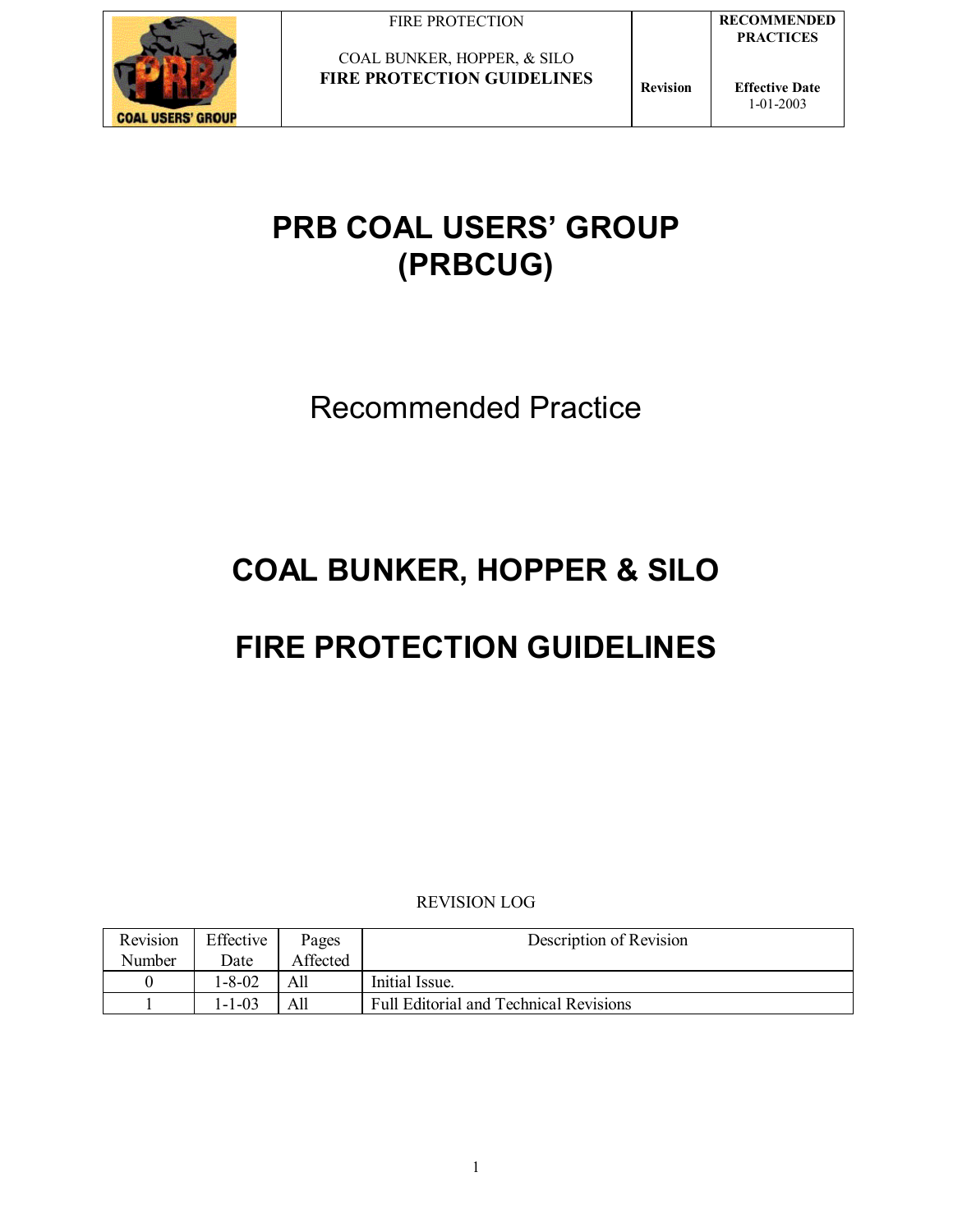

COAL BUNKER, HOPPER, & SILO **FIRE PROTECTION GUIDELINES Revision** 

**Effective Date** 1-01-2003

## **PRB COAL USERS' GROUP (PRBCUG)**

Recommended Practice

## **COAL BUNKER, HOPPER & SILO**

# **FIRE PROTECTION GUIDELINES**

REVISION LOG

| Revision | Effective | Pages    | Description of Revision                       |
|----------|-----------|----------|-----------------------------------------------|
| Number   | Date      | Affected |                                               |
|          | 1-8-02    | A11      | Initial Issue.                                |
|          | 1-1-03    |          | <b>Full Editorial and Technical Revisions</b> |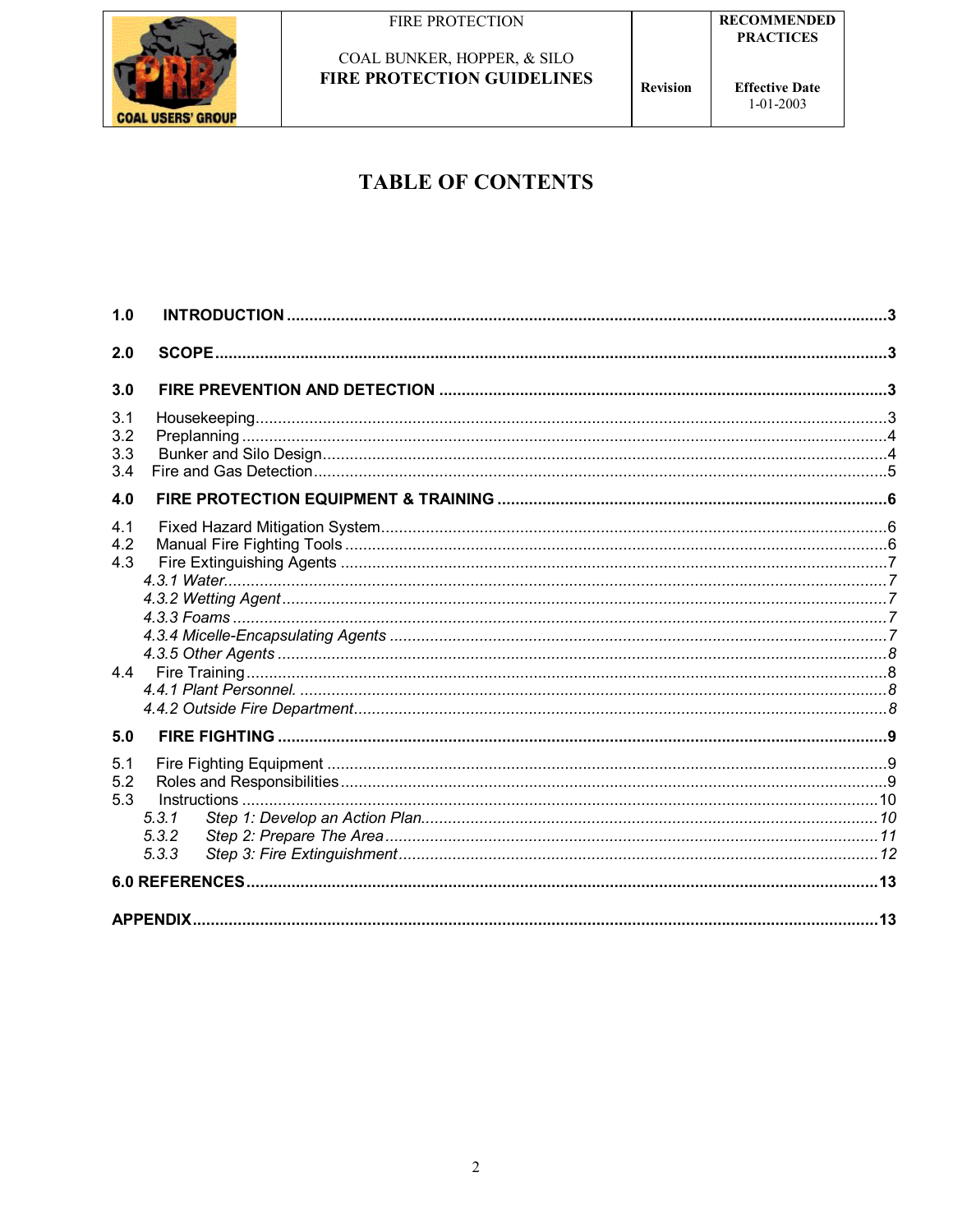

**Effective Date**  $1 - 01 - 2003$ 

**Revision** 

## **TABLE OF CONTENTS**

| 1.0 |       |  |
|-----|-------|--|
| 2.0 |       |  |
|     |       |  |
| 3.0 |       |  |
| 3.1 |       |  |
| 3.2 |       |  |
| 3.3 |       |  |
| 3.4 |       |  |
| 4.0 |       |  |
| 4.1 |       |  |
| 4.2 |       |  |
| 4.3 |       |  |
|     |       |  |
|     |       |  |
|     |       |  |
|     |       |  |
|     |       |  |
|     |       |  |
|     |       |  |
| 5.0 |       |  |
| 5.1 |       |  |
| 5.2 |       |  |
| 5.3 |       |  |
|     | 5.3.1 |  |
|     | 5.3.2 |  |
|     | 5.3.3 |  |
|     |       |  |
|     |       |  |
|     |       |  |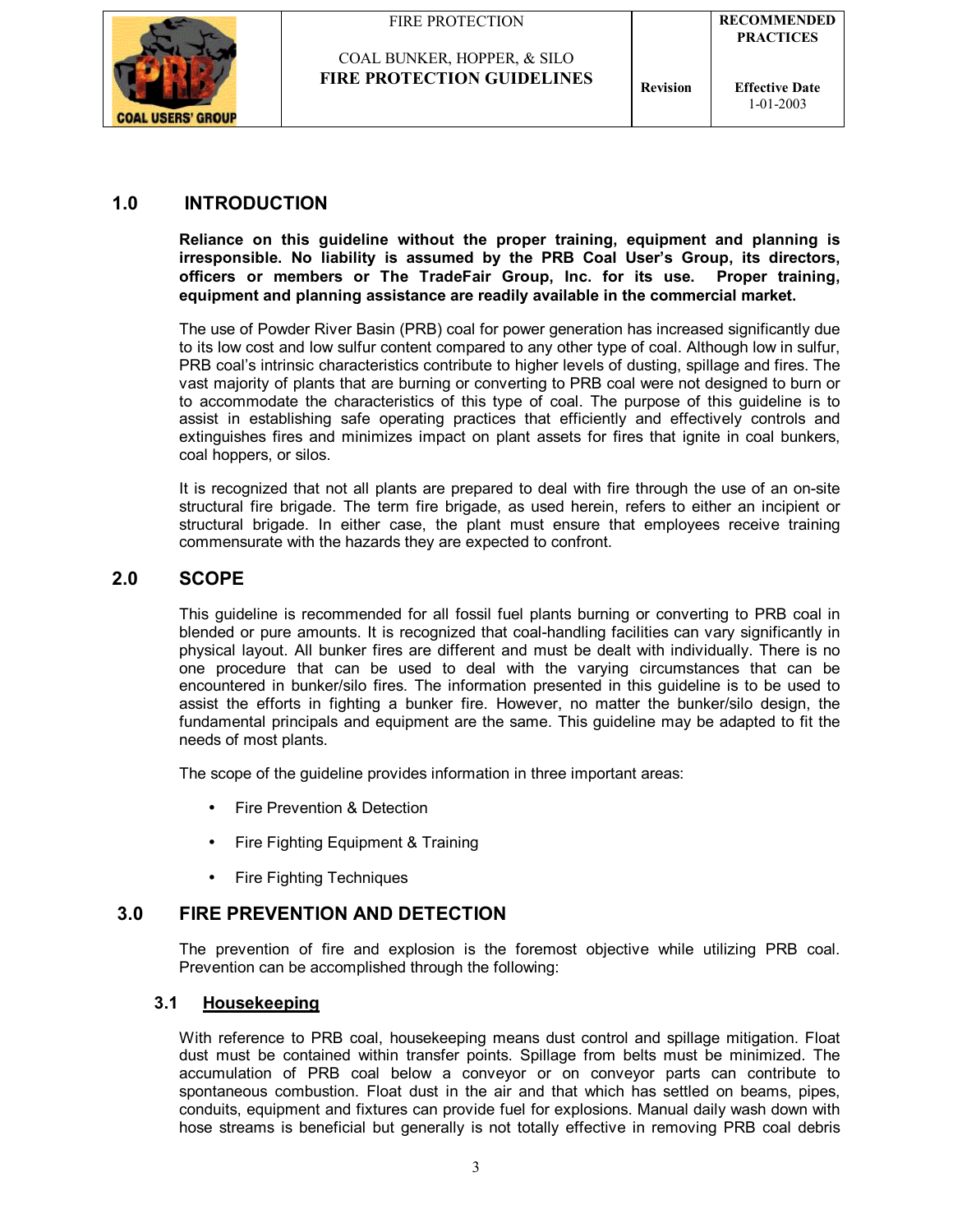

COAL BUNKER, HOPPER, & SILO

**Effective Date** 1-01-2003

## **1.0 INTRODUCTION**

**Reliance on this guideline without the proper training, equipment and planning is irresponsible. No liability is assumed by the PRB Coal Userís Group, its directors, officers or members or The TradeFair Group, Inc. for its use. Proper training, equipment and planning assistance are readily available in the commercial market.**

The use of Powder River Basin (PRB) coal for power generation has increased significantly due to its low cost and low sulfur content compared to any other type of coal. Although low in sulfur, PRB coalís intrinsic characteristics contribute to higher levels of dusting, spillage and fires. The vast majority of plants that are burning or converting to PRB coal were not designed to burn or to accommodate the characteristics of this type of coal. The purpose of this guideline is to assist in establishing safe operating practices that efficiently and effectively controls and extinguishes fires and minimizes impact on plant assets for fires that ignite in coal bunkers, coal hoppers, or silos.

It is recognized that not all plants are prepared to deal with fire through the use of an on-site structural fire brigade. The term fire brigade, as used herein, refers to either an incipient or structural brigade. In either case, the plant must ensure that employees receive training commensurate with the hazards they are expected to confront.

## **2.0 SCOPE**

This guideline is recommended for all fossil fuel plants burning or converting to PRB coal in blended or pure amounts. It is recognized that coal-handling facilities can vary significantly in physical layout. All bunker fires are different and must be dealt with individually. There is no one procedure that can be used to deal with the varying circumstances that can be encountered in bunker/silo fires. The information presented in this guideline is to be used to assist the efforts in fighting a bunker fire. However, no matter the bunker/silo design, the fundamental principals and equipment are the same. This guideline may be adapted to fit the needs of most plants.

The scope of the guideline provides information in three important areas:

- Fire Prevention & Detection
- Fire Fighting Equipment & Training
- Fire Fighting Techniques

## **3.0 FIRE PREVENTION AND DETECTION**

The prevention of fire and explosion is the foremost objective while utilizing PRB coal. Prevention can be accomplished through the following:

## **3.1 Housekeeping**

With reference to PRB coal, housekeeping means dust control and spillage mitigation. Float dust must be contained within transfer points. Spillage from belts must be minimized. The accumulation of PRB coal below a conveyor or on conveyor parts can contribute to spontaneous combustion. Float dust in the air and that which has settled on beams, pipes, conduits, equipment and fixtures can provide fuel for explosions. Manual daily wash down with hose streams is beneficial but generally is not totally effective in removing PRB coal debris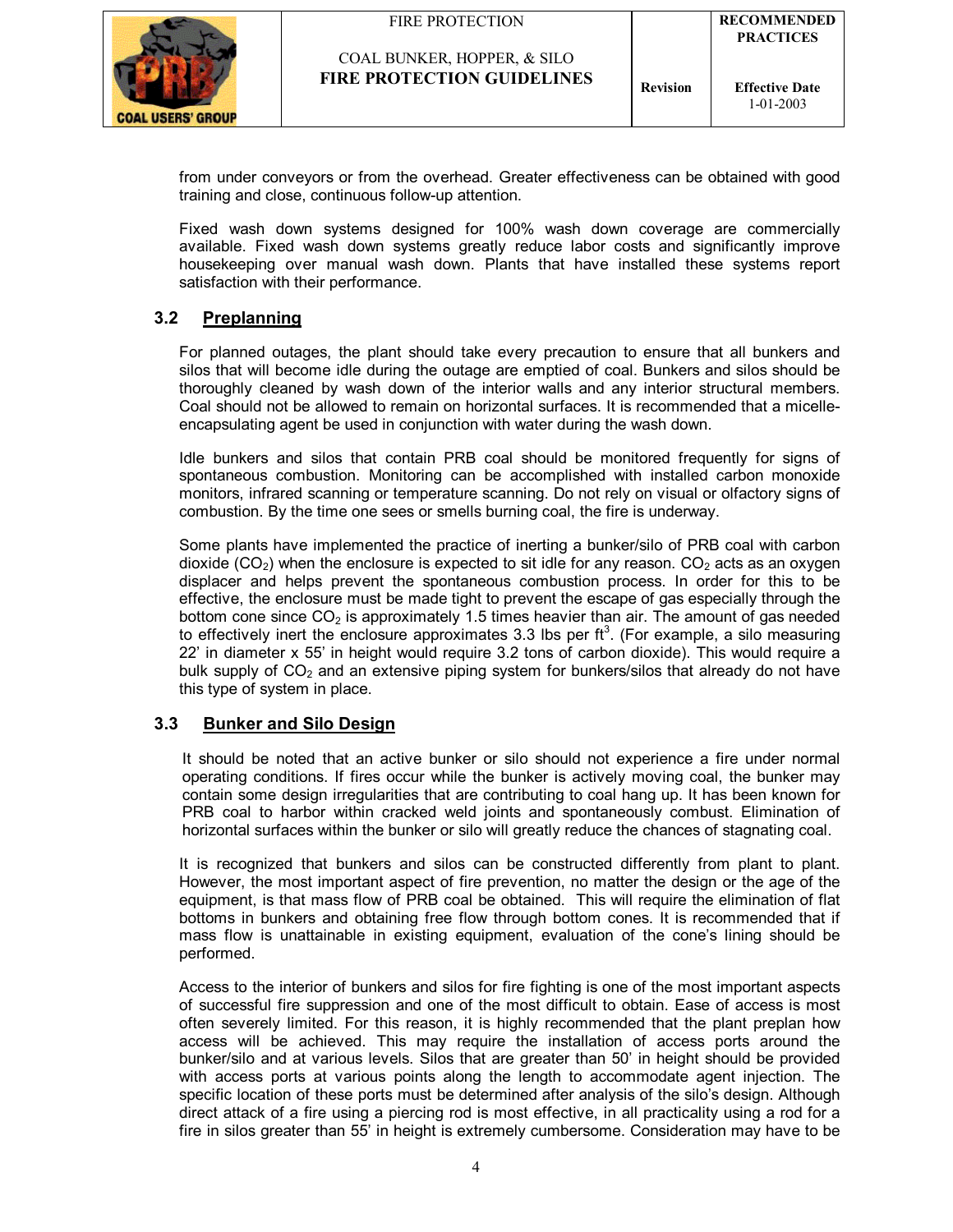

from under conveyors or from the overhead. Greater effectiveness can be obtained with good training and close, continuous follow-up attention.

Fixed wash down systems designed for 100% wash down coverage are commercially available. Fixed wash down systems greatly reduce labor costs and significantly improve housekeeping over manual wash down. Plants that have installed these systems report satisfaction with their performance.

## **3.2 Preplanning**

For planned outages, the plant should take every precaution to ensure that all bunkers and silos that will become idle during the outage are emptied of coal. Bunkers and silos should be thoroughly cleaned by wash down of the interior walls and any interior structural members. Coal should not be allowed to remain on horizontal surfaces. It is recommended that a micelleencapsulating agent be used in conjunction with water during the wash down.

Idle bunkers and silos that contain PRB coal should be monitored frequently for signs of spontaneous combustion. Monitoring can be accomplished with installed carbon monoxide monitors, infrared scanning or temperature scanning. Do not rely on visual or olfactory signs of combustion. By the time one sees or smells burning coal, the fire is underway.

Some plants have implemented the practice of inerting a bunker/silo of PRB coal with carbon dioxide ( $CO<sub>2</sub>$ ) when the enclosure is expected to sit idle for any reason.  $CO<sub>2</sub>$  acts as an oxygen displacer and helps prevent the spontaneous combustion process. In order for this to be effective, the enclosure must be made tight to prevent the escape of gas especially through the bottom cone since  $CO<sub>2</sub>$  is approximately 1.5 times heavier than air. The amount of gas needed to effectively inert the enclosure approximates 3.3 lbs per  $ft<sup>3</sup>$ . (For example, a silo measuring 22' in diameter x 55' in height would require 3.2 tons of carbon dioxide). This would require a bulk supply of  $CO<sub>2</sub>$  and an extensive piping system for bunkers/silos that already do not have this type of system in place.

## **3.3 Bunker and Silo Design**

It should be noted that an active bunker or silo should not experience a fire under normal operating conditions. If fires occur while the bunker is actively moving coal, the bunker may contain some design irregularities that are contributing to coal hang up. It has been known for PRB coal to harbor within cracked weld joints and spontaneously combust. Elimination of horizontal surfaces within the bunker or silo will greatly reduce the chances of stagnating coal.

It is recognized that bunkers and silos can be constructed differently from plant to plant. However, the most important aspect of fire prevention, no matter the design or the age of the equipment, is that mass flow of PRB coal be obtained. This will require the elimination of flat bottoms in bunkers and obtaining free flow through bottom cones. It is recommended that if mass flow is unattainable in existing equipment, evaluation of the cone's lining should be performed.

Access to the interior of bunkers and silos for fire fighting is one of the most important aspects of successful fire suppression and one of the most difficult to obtain. Ease of access is most often severely limited. For this reason, it is highly recommended that the plant preplan how access will be achieved. This may require the installation of access ports around the bunker/silo and at various levels. Silos that are greater than 50' in height should be provided with access ports at various points along the length to accommodate agent injection. The specific location of these ports must be determined after analysis of the silo's design. Although direct attack of a fire using a piercing rod is most effective, in all practicality using a rod for a fire in silos greater than 55' in height is extremely cumbersome. Consideration may have to be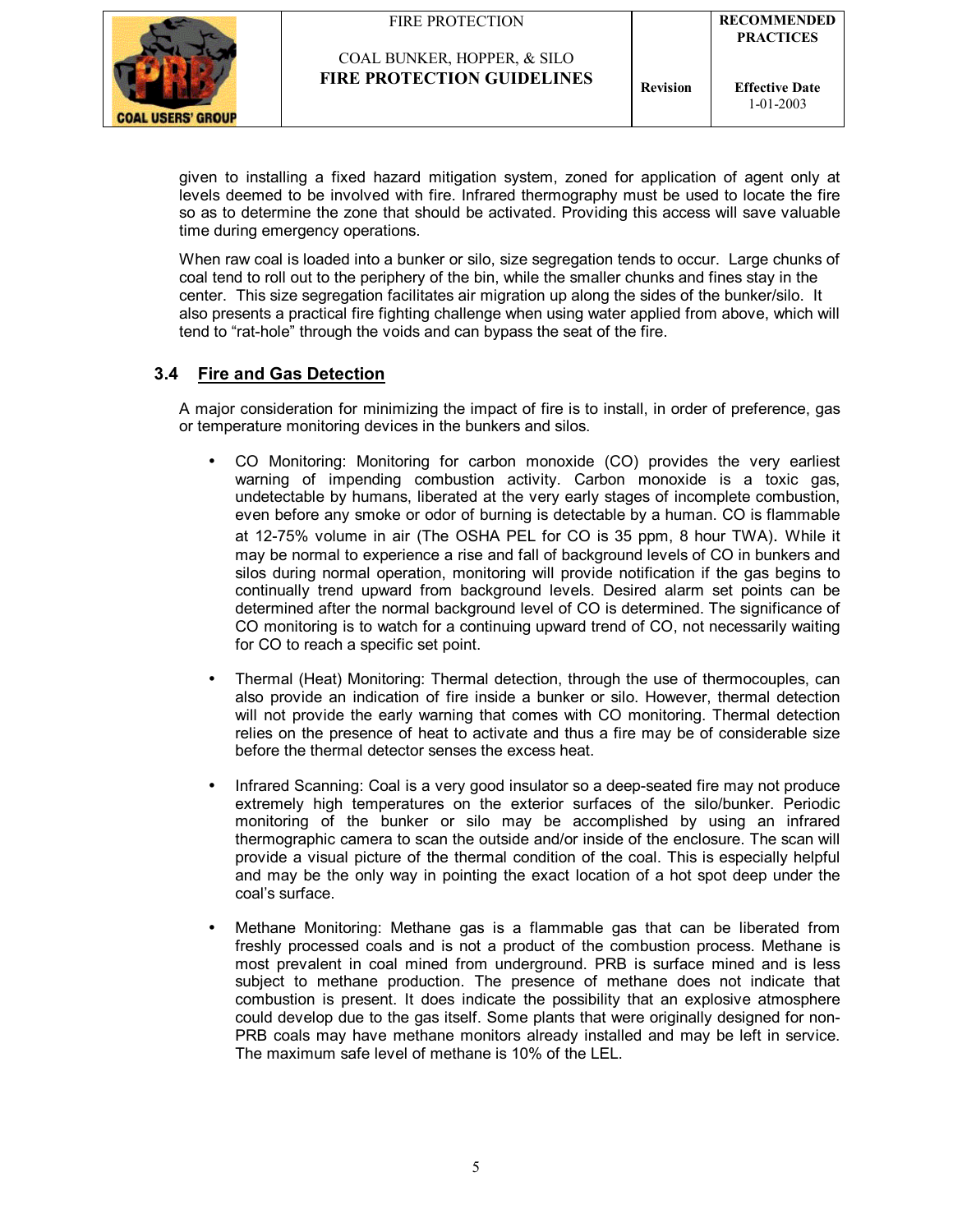



given to installing a fixed hazard mitigation system, zoned for application of agent only at levels deemed to be involved with fire. Infrared thermography must be used to locate the fire so as to determine the zone that should be activated. Providing this access will save valuable time during emergency operations.

When raw coal is loaded into a bunker or silo, size segregation tends to occur. Large chunks of coal tend to roll out to the periphery of the bin, while the smaller chunks and fines stay in the center. This size segregation facilitates air migration up along the sides of the bunker/silo. It also presents a practical fire fighting challenge when using water applied from above, which will tend to "rat-hole" through the voids and can bypass the seat of the fire.

## **3.4 Fire and Gas Detection**

A major consideration for minimizing the impact of fire is to install, in order of preference, gas or temperature monitoring devices in the bunkers and silos.

- CO Monitoring: Monitoring for carbon monoxide (CO) provides the very earliest warning of impending combustion activity. Carbon monoxide is a toxic gas, undetectable by humans, liberated at the very early stages of incomplete combustion, even before any smoke or odor of burning is detectable by a human. CO is flammable at 12-75% volume in air (The OSHA PEL for CO is 35 ppm, 8 hour TWA). While it may be normal to experience a rise and fall of background levels of CO in bunkers and silos during normal operation, monitoring will provide notification if the gas begins to continually trend upward from background levels. Desired alarm set points can be determined after the normal background level of CO is determined. The significance of CO monitoring is to watch for a continuing upward trend of CO, not necessarily waiting for CO to reach a specific set point.
- Thermal (Heat) Monitoring: Thermal detection, through the use of thermocouples, can also provide an indication of fire inside a bunker or silo. However, thermal detection will not provide the early warning that comes with CO monitoring. Thermal detection relies on the presence of heat to activate and thus a fire may be of considerable size before the thermal detector senses the excess heat.
- Infrared Scanning: Coal is a very good insulator so a deep-seated fire may not produce extremely high temperatures on the exterior surfaces of the silo/bunker. Periodic monitoring of the bunker or silo may be accomplished by using an infrared thermographic camera to scan the outside and/or inside of the enclosure. The scan will provide a visual picture of the thermal condition of the coal. This is especially helpful and may be the only way in pointing the exact location of a hot spot deep under the coal's surface.
- Methane Monitoring: Methane gas is a flammable gas that can be liberated from freshly processed coals and is not a product of the combustion process. Methane is most prevalent in coal mined from underground. PRB is surface mined and is less subject to methane production. The presence of methane does not indicate that combustion is present. It does indicate the possibility that an explosive atmosphere could develop due to the gas itself. Some plants that were originally designed for non-PRB coals may have methane monitors already installed and may be left in service. The maximum safe level of methane is 10% of the LEL.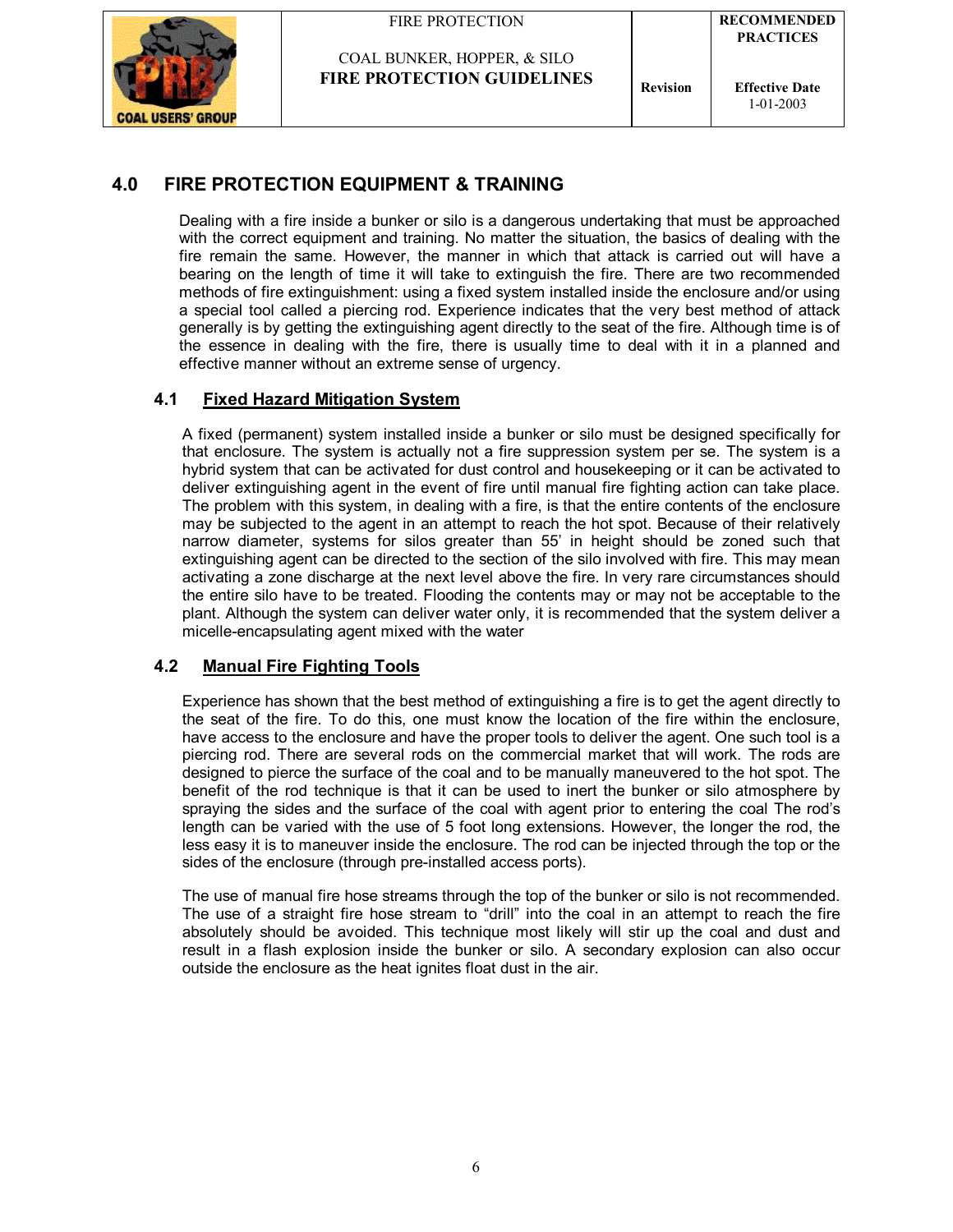



COAL BUNKER, HOPPER, & SILO **FIRE PROTECTION GUIDELINES**  $\left| \begin{array}{c} \text{Revision} \end{array} \right|$ 

**Effective Date** 1-01-2003

## **4.0 FIRE PROTECTION EQUIPMENT & TRAINING**

Dealing with a fire inside a bunker or silo is a dangerous undertaking that must be approached with the correct equipment and training. No matter the situation, the basics of dealing with the fire remain the same. However, the manner in which that attack is carried out will have a bearing on the length of time it will take to extinguish the fire. There are two recommended methods of fire extinguishment: using a fixed system installed inside the enclosure and/or using a special tool called a piercing rod. Experience indicates that the very best method of attack generally is by getting the extinguishing agent directly to the seat of the fire. Although time is of the essence in dealing with the fire, there is usually time to deal with it in a planned and effective manner without an extreme sense of urgency.

## **4.1 Fixed Hazard Mitigation System**

 A fixed (permanent) system installed inside a bunker or silo must be designed specifically for that enclosure. The system is actually not a fire suppression system per se. The system is a hybrid system that can be activated for dust control and housekeeping or it can be activated to deliver extinguishing agent in the event of fire until manual fire fighting action can take place. The problem with this system, in dealing with a fire, is that the entire contents of the enclosure may be subjected to the agent in an attempt to reach the hot spot. Because of their relatively narrow diameter, systems for silos greater than 55í in height should be zoned such that extinguishing agent can be directed to the section of the silo involved with fire. This may mean activating a zone discharge at the next level above the fire. In very rare circumstances should the entire silo have to be treated. Flooding the contents may or may not be acceptable to the plant. Although the system can deliver water only, it is recommended that the system deliver a micelle-encapsulating agent mixed with the water

## **4.2 Manual Fire Fighting Tools**

Experience has shown that the best method of extinguishing a fire is to get the agent directly to the seat of the fire. To do this, one must know the location of the fire within the enclosure, have access to the enclosure and have the proper tools to deliver the agent. One such tool is a piercing rod. There are several rods on the commercial market that will work. The rods are designed to pierce the surface of the coal and to be manually maneuvered to the hot spot. The benefit of the rod technique is that it can be used to inert the bunker or silo atmosphere by spraying the sides and the surface of the coal with agent prior to entering the coal The rod's length can be varied with the use of 5 foot long extensions. However, the longer the rod, the less easy it is to maneuver inside the enclosure. The rod can be injected through the top or the sides of the enclosure (through pre-installed access ports).

The use of manual fire hose streams through the top of the bunker or silo is not recommended. The use of a straight fire hose stream to "drill" into the coal in an attempt to reach the fire absolutely should be avoided. This technique most likely will stir up the coal and dust and result in a flash explosion inside the bunker or silo. A secondary explosion can also occur outside the enclosure as the heat ignites float dust in the air.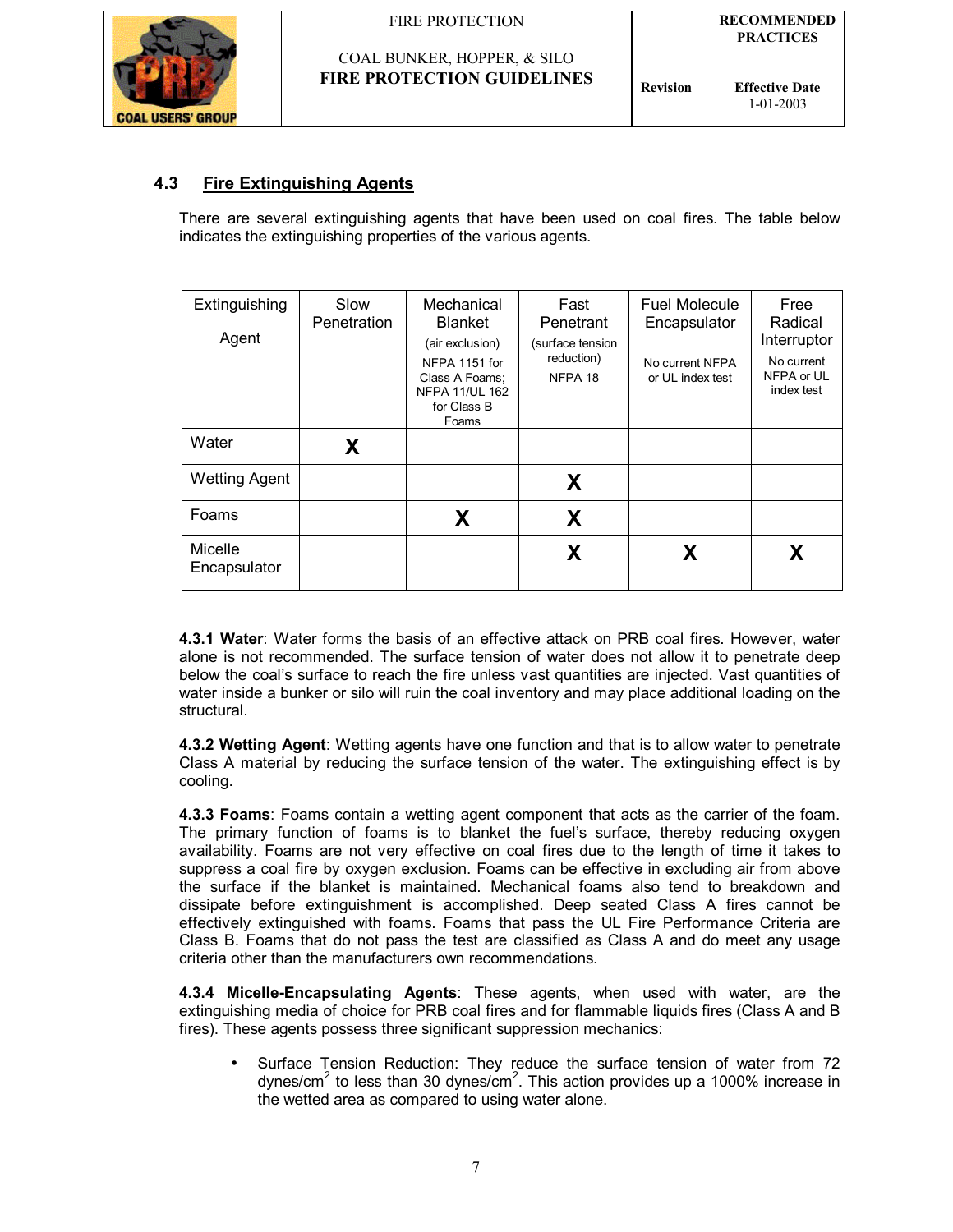

## **4.3 Fire Extinguishing Agents**

There are several extinguishing agents that have been used on coal fires. The table below indicates the extinguishing properties of the various agents.

| Extinguishing<br>Agent  | Slow<br>Penetration | Mechanical<br><b>Blanket</b><br>(air exclusion)<br>NFPA 1151 for<br>Class A Foams;<br><b>NFPA 11/UL 162</b><br>for Class B<br>Foams | Fast<br>Penetrant<br>(surface tension<br>reduction)<br>NFPA 18 | <b>Fuel Molecule</b><br>Encapsulator<br>No current NFPA<br>or UL index test | Free<br>Radical<br>Interruptor<br>No current<br>NFPA or UL<br>index test |
|-------------------------|---------------------|-------------------------------------------------------------------------------------------------------------------------------------|----------------------------------------------------------------|-----------------------------------------------------------------------------|--------------------------------------------------------------------------|
| Water                   | X                   |                                                                                                                                     |                                                                |                                                                             |                                                                          |
| <b>Wetting Agent</b>    |                     |                                                                                                                                     | X                                                              |                                                                             |                                                                          |
| Foams                   |                     | X                                                                                                                                   | X                                                              |                                                                             |                                                                          |
| Micelle<br>Encapsulator |                     |                                                                                                                                     | X                                                              | X                                                                           | X                                                                        |

**4.3.1 Water**: Water forms the basis of an effective attack on PRB coal fires. However, water alone is not recommended. The surface tension of water does not allow it to penetrate deep below the coal's surface to reach the fire unless vast quantities are injected. Vast quantities of water inside a bunker or silo will ruin the coal inventory and may place additional loading on the structural.

**4.3.2 Wetting Agent**: Wetting agents have one function and that is to allow water to penetrate Class A material by reducing the surface tension of the water. The extinguishing effect is by cooling.

**4.3.3 Foams**: Foams contain a wetting agent component that acts as the carrier of the foam. The primary function of foams is to blanket the fuelís surface, thereby reducing oxygen availability. Foams are not very effective on coal fires due to the length of time it takes to suppress a coal fire by oxygen exclusion. Foams can be effective in excluding air from above the surface if the blanket is maintained. Mechanical foams also tend to breakdown and dissipate before extinguishment is accomplished. Deep seated Class A fires cannot be effectively extinguished with foams. Foams that pass the UL Fire Performance Criteria are Class B. Foams that do not pass the test are classified as Class A and do meet any usage criteria other than the manufacturers own recommendations.

**4.3.4 Micelle-Encapsulating Agents**: These agents, when used with water, are the extinguishing media of choice for PRB coal fires and for flammable liquids fires (Class A and B fires). These agents possess three significant suppression mechanics:

• Surface Tension Reduction: They reduce the surface tension of water from 72 dynes/cm<sup>2</sup> to less than 30 dynes/cm<sup>2</sup>. This action provides up a 1000% increase in the wetted area as compared to using water alone.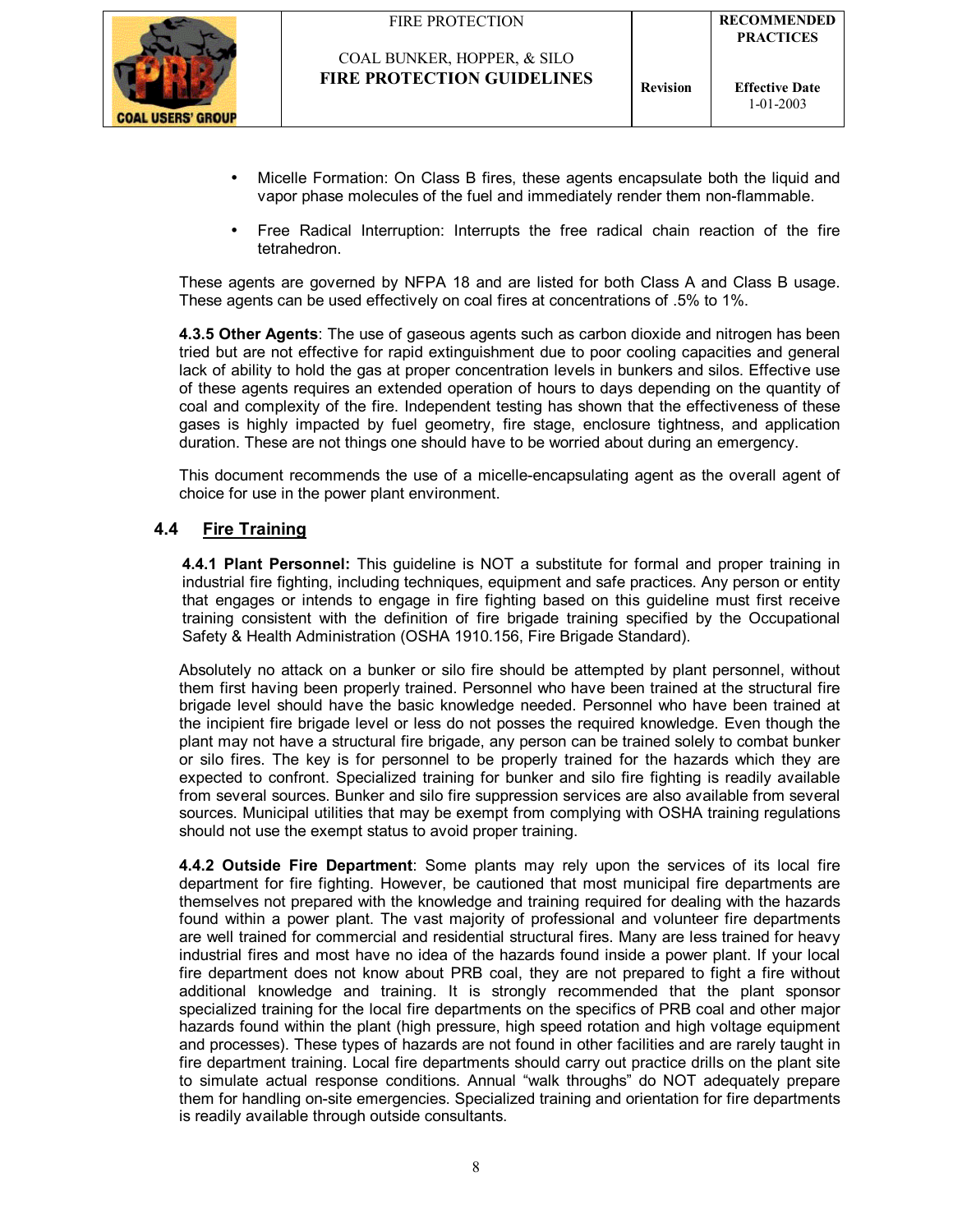

- Micelle Formation: On Class B fires, these agents encapsulate both the liquid and vapor phase molecules of the fuel and immediately render them non-flammable.
- Free Radical Interruption: Interrupts the free radical chain reaction of the fire tetrahedron.

These agents are governed by NFPA 18 and are listed for both Class A and Class B usage. These agents can be used effectively on coal fires at concentrations of .5% to 1%.

**4.3.5 Other Agents**: The use of gaseous agents such as carbon dioxide and nitrogen has been tried but are not effective for rapid extinguishment due to poor cooling capacities and general lack of ability to hold the gas at proper concentration levels in bunkers and silos. Effective use of these agents requires an extended operation of hours to days depending on the quantity of coal and complexity of the fire. Independent testing has shown that the effectiveness of these gases is highly impacted by fuel geometry, fire stage, enclosure tightness, and application duration. These are not things one should have to be worried about during an emergency.

This document recommends the use of a micelle-encapsulating agent as the overall agent of choice for use in the power plant environment.

#### **4.4 Fire Training**

**4.4.1 Plant Personnel:** This guideline is NOT a substitute for formal and proper training in industrial fire fighting, including techniques, equipment and safe practices. Any person or entity that engages or intends to engage in fire fighting based on this guideline must first receive training consistent with the definition of fire brigade training specified by the Occupational Safety & Health Administration (OSHA 1910.156, Fire Brigade Standard).

Absolutely no attack on a bunker or silo fire should be attempted by plant personnel, without them first having been properly trained. Personnel who have been trained at the structural fire brigade level should have the basic knowledge needed. Personnel who have been trained at the incipient fire brigade level or less do not posses the required knowledge. Even though the plant may not have a structural fire brigade, any person can be trained solely to combat bunker or silo fires. The key is for personnel to be properly trained for the hazards which they are expected to confront. Specialized training for bunker and silo fire fighting is readily available from several sources. Bunker and silo fire suppression services are also available from several sources. Municipal utilities that may be exempt from complying with OSHA training regulations should not use the exempt status to avoid proper training.

**4.4.2 Outside Fire Department**: Some plants may rely upon the services of its local fire department for fire fighting. However, be cautioned that most municipal fire departments are themselves not prepared with the knowledge and training required for dealing with the hazards found within a power plant. The vast majority of professional and volunteer fire departments are well trained for commercial and residential structural fires. Many are less trained for heavy industrial fires and most have no idea of the hazards found inside a power plant. If your local fire department does not know about PRB coal, they are not prepared to fight a fire without additional knowledge and training. It is strongly recommended that the plant sponsor specialized training for the local fire departments on the specifics of PRB coal and other major hazards found within the plant (high pressure, high speed rotation and high voltage equipment and processes). These types of hazards are not found in other facilities and are rarely taught in fire department training. Local fire departments should carry out practice drills on the plant site to simulate actual response conditions. Annual "walk throughs" do NOT adequately prepare them for handling on-site emergencies. Specialized training and orientation for fire departments is readily available through outside consultants.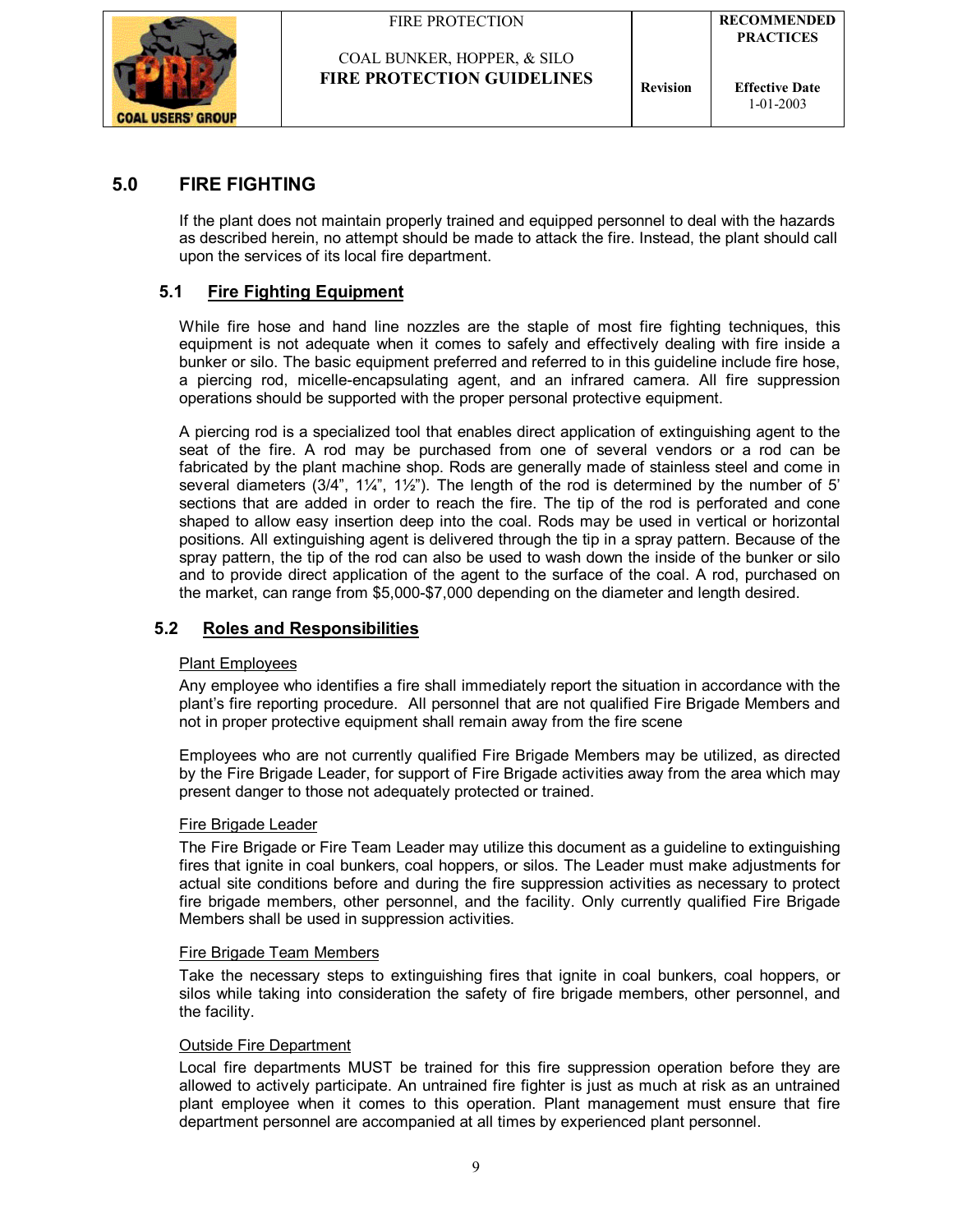

## COAL BUNKER, HOPPER, & SILO **FIRE PROTECTION GUIDELINES Revision**

## **5.0 FIRE FIGHTING**

If the plant does not maintain properly trained and equipped personnel to deal with the hazards as described herein, no attempt should be made to attack the fire. Instead, the plant should call upon the services of its local fire department.

## **5.1 Fire Fighting Equipment**

While fire hose and hand line nozzles are the staple of most fire fighting techniques, this equipment is not adequate when it comes to safely and effectively dealing with fire inside a bunker or silo. The basic equipment preferred and referred to in this guideline include fire hose, a piercing rod, micelle-encapsulating agent, and an infrared camera. All fire suppression operations should be supported with the proper personal protective equipment.

A piercing rod is a specialized tool that enables direct application of extinguishing agent to the seat of the fire. A rod may be purchased from one of several vendors or a rod can be fabricated by the plant machine shop. Rods are generally made of stainless steel and come in several diameters  $(3/4$ <sup>n</sup>,  $1\frac{1}{4}$ <sup>n</sup>,  $1\frac{1}{2}$ <sup>n</sup>). The length of the rod is determined by the number of 5<sup>'</sup> sections that are added in order to reach the fire. The tip of the rod is perforated and cone shaped to allow easy insertion deep into the coal. Rods may be used in vertical or horizontal positions. All extinguishing agent is delivered through the tip in a spray pattern. Because of the spray pattern, the tip of the rod can also be used to wash down the inside of the bunker or silo and to provide direct application of the agent to the surface of the coal. A rod, purchased on the market, can range from \$5,000-\$7,000 depending on the diameter and length desired.

## **5.2 Roles and Responsibilities**

#### Plant Employees

Any employee who identifies a fire shall immediately report the situation in accordance with the plantís fire reporting procedure. All personnel that are not qualified Fire Brigade Members and not in proper protective equipment shall remain away from the fire scene

Employees who are not currently qualified Fire Brigade Members may be utilized, as directed by the Fire Brigade Leader, for support of Fire Brigade activities away from the area which may present danger to those not adequately protected or trained.

#### Fire Brigade Leader

The Fire Brigade or Fire Team Leader may utilize this document as a guideline to extinguishing fires that ignite in coal bunkers, coal hoppers, or silos. The Leader must make adjustments for actual site conditions before and during the fire suppression activities as necessary to protect fire brigade members, other personnel, and the facility. Only currently qualified Fire Brigade Members shall be used in suppression activities.

#### Fire Brigade Team Members

Take the necessary steps to extinguishing fires that ignite in coal bunkers, coal hoppers, or silos while taking into consideration the safety of fire brigade members, other personnel, and the facility.

#### Outside Fire Department

Local fire departments MUST be trained for this fire suppression operation before they are allowed to actively participate. An untrained fire fighter is just as much at risk as an untrained plant employee when it comes to this operation. Plant management must ensure that fire department personnel are accompanied at all times by experienced plant personnel.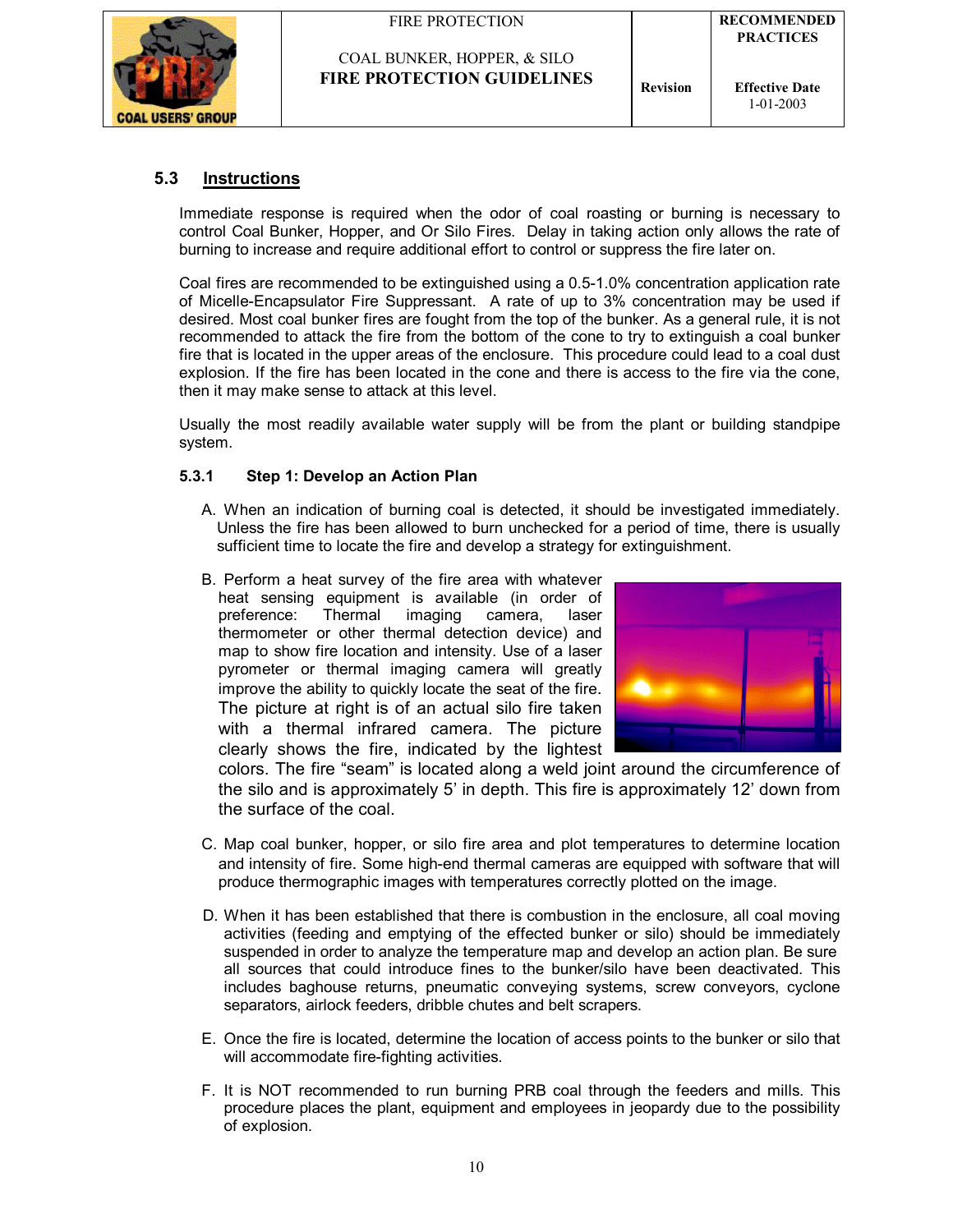|  | FIRE PROTECTION |  |
|--|-----------------|--|
|  |                 |  |



## **5.3 Instructions**

Immediate response is required when the odor of coal roasting or burning is necessary to control Coal Bunker, Hopper, and Or Silo Fires. Delay in taking action only allows the rate of burning to increase and require additional effort to control or suppress the fire later on.

Coal fires are recommended to be extinguished using a 0.5-1.0% concentration application rate of Micelle-Encapsulator Fire Suppressant. A rate of up to 3% concentration may be used if desired. Most coal bunker fires are fought from the top of the bunker. As a general rule, it is not recommended to attack the fire from the bottom of the cone to try to extinguish a coal bunker fire that is located in the upper areas of the enclosure. This procedure could lead to a coal dust explosion. If the fire has been located in the cone and there is access to the fire via the cone, then it may make sense to attack at this level.

Usually the most readily available water supply will be from the plant or building standpipe system.

#### **5.3.1 Step 1: Develop an Action Plan**

- A. When an indication of burning coal is detected, it should be investigated immediately. Unless the fire has been allowed to burn unchecked for a period of time, there is usually sufficient time to locate the fire and develop a strategy for extinguishment.
- B. Perform a heat survey of the fire area with whatever heat sensing equipment is available (in order of preference: Thermal imaging camera, laser thermometer or other thermal detection device) and map to show fire location and intensity. Use of a laser pyrometer or thermal imaging camera will greatly improve the ability to quickly locate the seat of the fire. The picture at right is of an actual silo fire taken with a thermal infrared camera. The picture clearly shows the fire, indicated by the lightest



colors. The fire "seam" is located along a weld joint around the circumference of the silo and is approximately 5' in depth. This fire is approximately 12' down from the surface of the coal.

- C. Map coal bunker, hopper, or silo fire area and plot temperatures to determine location and intensity of fire. Some high-end thermal cameras are equipped with software that will produce thermographic images with temperatures correctly plotted on the image.
- D. When it has been established that there is combustion in the enclosure, all coal moving activities (feeding and emptying of the effected bunker or silo) should be immediately suspended in order to analyze the temperature map and develop an action plan. Be sure all sources that could introduce fines to the bunker/silo have been deactivated. This includes baghouse returns, pneumatic conveying systems, screw conveyors, cyclone separators, airlock feeders, dribble chutes and belt scrapers.
- E. Once the fire is located, determine the location of access points to the bunker or silo that will accommodate fire-fighting activities.
- F. It is NOT recommended to run burning PRB coal through the feeders and mills. This procedure places the plant, equipment and employees in jeopardy due to the possibility of explosion.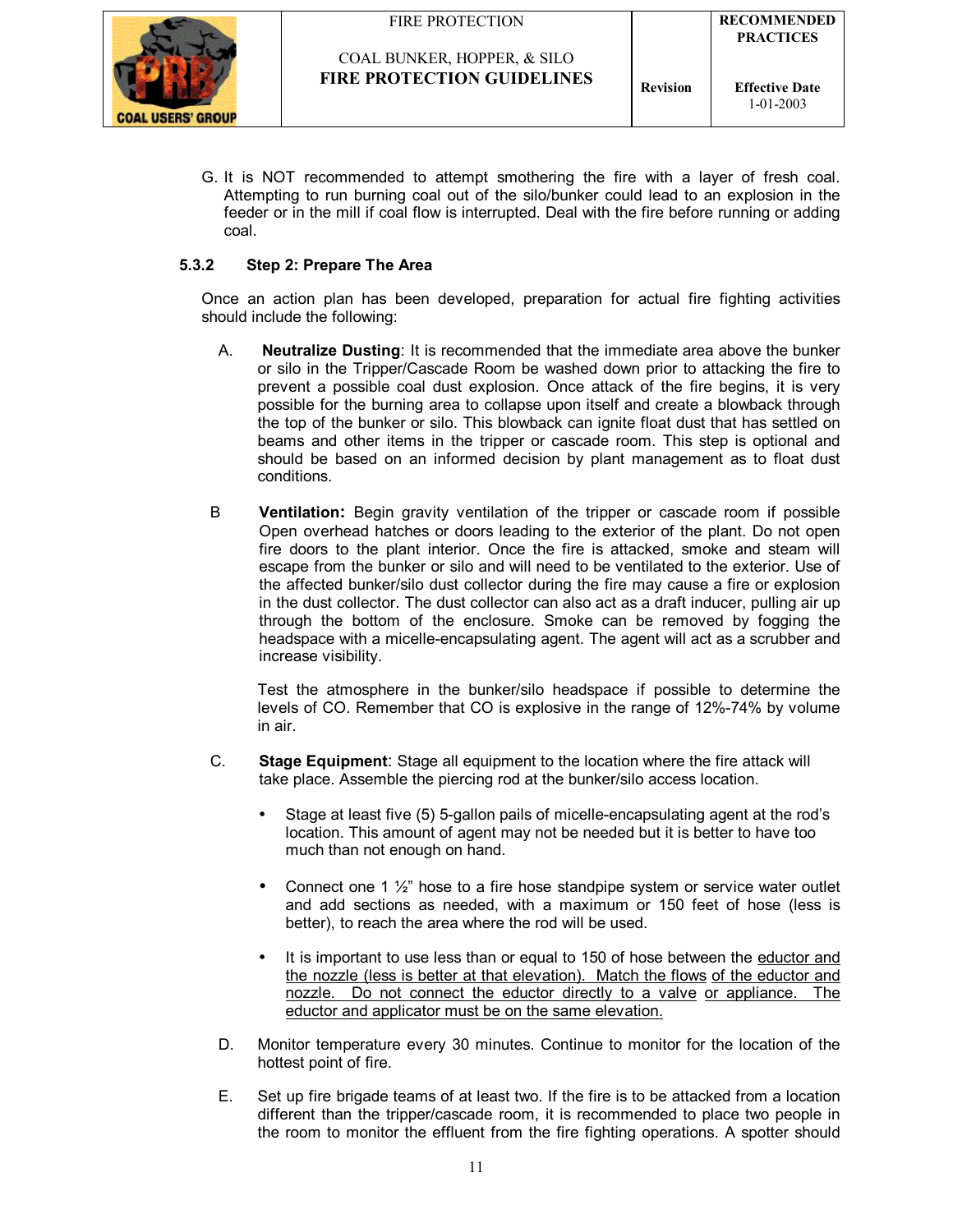

G. It is NOT recommended to attempt smothering the fire with a layer of fresh coal. Attempting to run burning coal out of the silo/bunker could lead to an explosion in the feeder or in the mill if coal flow is interrupted. Deal with the fire before running or adding coal.

**FIRE PROTECTION GUIDELINES Revision** 

#### **5.3.2 Step 2: Prepare The Area**

Once an action plan has been developed, preparation for actual fire fighting activities should include the following:

- A. **Neutralize Dusting**: It is recommended that the immediate area above the bunker or silo in the Tripper/Cascade Room be washed down prior to attacking the fire to prevent a possible coal dust explosion. Once attack of the fire begins, it is very possible for the burning area to collapse upon itself and create a blowback through the top of the bunker or silo. This blowback can ignite float dust that has settled on beams and other items in the tripper or cascade room. This step is optional and should be based on an informed decision by plant management as to float dust conditions.
- B **Ventilation:** Begin gravity ventilation of the tripper or cascade room if possible Open overhead hatches or doors leading to the exterior of the plant. Do not open fire doors to the plant interior. Once the fire is attacked, smoke and steam will escape from the bunker or silo and will need to be ventilated to the exterior. Use of the affected bunker/silo dust collector during the fire may cause a fire or explosion in the dust collector. The dust collector can also act as a draft inducer, pulling air up through the bottom of the enclosure. Smoke can be removed by fogging the headspace with a micelle-encapsulating agent. The agent will act as a scrubber and increase visibility.

Test the atmosphere in the bunker/silo headspace if possible to determine the levels of CO. Remember that CO is explosive in the range of 12%-74% by volume in air.

- C. **Stage Equipment**: Stage all equipment to the location where the fire attack will take place. Assemble the piercing rod at the bunker/silo access location.
	- Stage at least five (5) 5-gallon pails of micelle-encapsulating agent at the rod's location. This amount of agent may not be needed but it is better to have too much than not enough on hand.
	- Connect one 1  $\frac{1}{2}$  hose to a fire hose standpipe system or service water outlet and add sections as needed, with a maximum or 150 feet of hose (less is better), to reach the area where the rod will be used.
	- It is important to use less than or equal to 150 of hose between the eductor and the nozzle (less is better at that elevation). Match the flows of the eductor and nozzle. Do not connect the eductor directly to a valve or appliance. The eductor and applicator must be on the same elevation.
- D. Monitor temperature every 30 minutes. Continue to monitor for the location of the hottest point of fire.
- E. Set up fire brigade teams of at least two. If the fire is to be attacked from a location different than the tripper/cascade room, it is recommended to place two people in the room to monitor the effluent from the fire fighting operations. A spotter should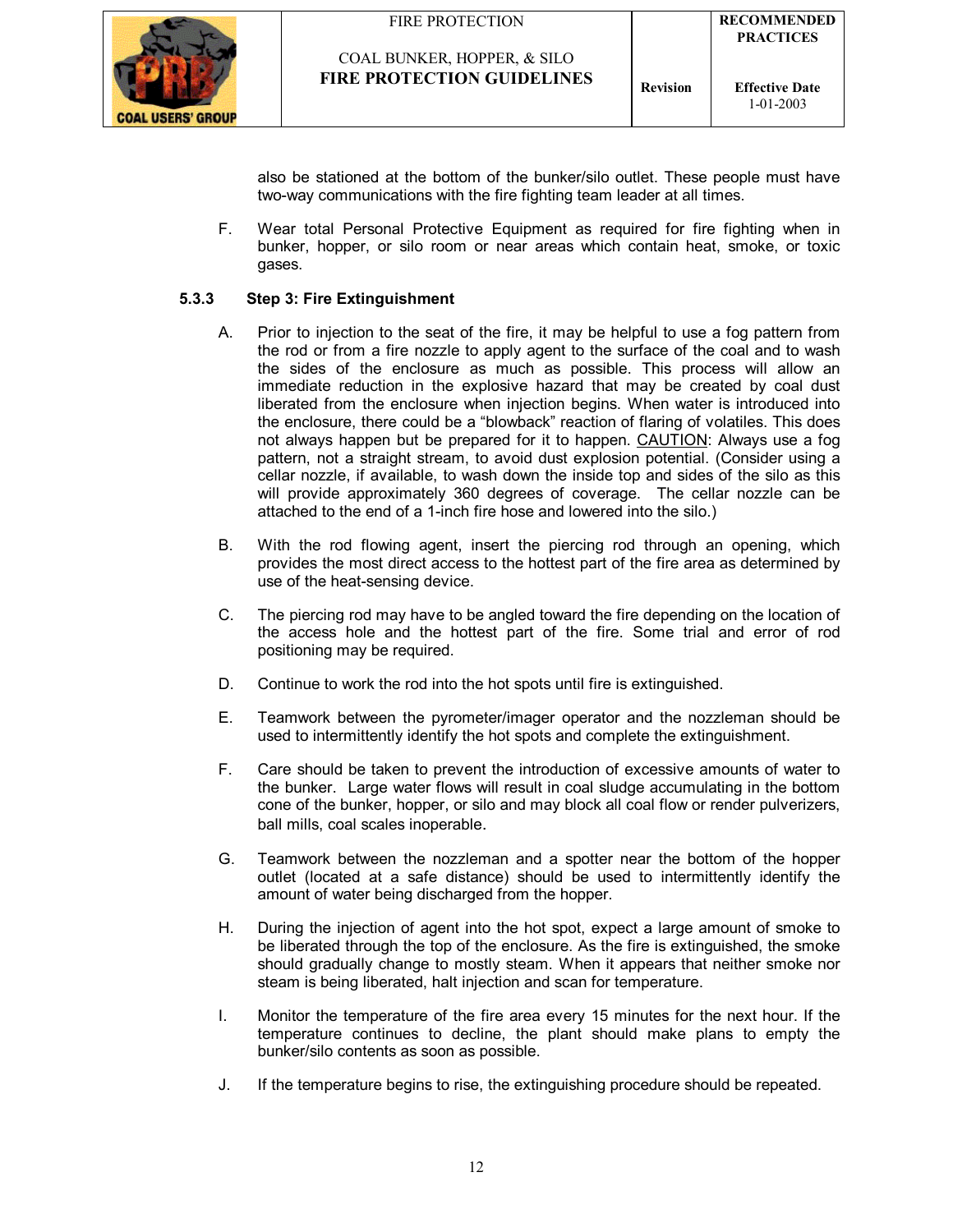

also be stationed at the bottom of the bunker/silo outlet. These people must have two-way communications with the fire fighting team leader at all times.

F. Wear total Personal Protective Equipment as required for fire fighting when in bunker, hopper, or silo room or near areas which contain heat, smoke, or toxic gases.

#### **5.3.3 Step 3: Fire Extinguishment**

- A. Prior to injection to the seat of the fire, it may be helpful to use a fog pattern from the rod or from a fire nozzle to apply agent to the surface of the coal and to wash the sides of the enclosure as much as possible. This process will allow an immediate reduction in the explosive hazard that may be created by coal dust liberated from the enclosure when injection begins. When water is introduced into the enclosure, there could be a "blowback" reaction of flaring of volatiles. This does not always happen but be prepared for it to happen. CAUTION: Always use a fog pattern, not a straight stream, to avoid dust explosion potential. (Consider using a cellar nozzle, if available, to wash down the inside top and sides of the silo as this will provide approximately 360 degrees of coverage. The cellar nozzle can be attached to the end of a 1-inch fire hose and lowered into the silo.)
- B. With the rod flowing agent, insert the piercing rod through an opening, which provides the most direct access to the hottest part of the fire area as determined by use of the heat-sensing device.
- C. The piercing rod may have to be angled toward the fire depending on the location of the access hole and the hottest part of the fire. Some trial and error of rod positioning may be required.
- D. Continue to work the rod into the hot spots until fire is extinguished.
- E. Teamwork between the pyrometer/imager operator and the nozzleman should be used to intermittently identify the hot spots and complete the extinguishment.
- F. Care should be taken to prevent the introduction of excessive amounts of water to the bunker. Large water flows will result in coal sludge accumulating in the bottom cone of the bunker, hopper, or silo and may block all coal flow or render pulverizers, ball mills, coal scales inoperable.
- G. Teamwork between the nozzleman and a spotter near the bottom of the hopper outlet (located at a safe distance) should be used to intermittently identify the amount of water being discharged from the hopper.
- H. During the injection of agent into the hot spot, expect a large amount of smoke to be liberated through the top of the enclosure. As the fire is extinguished, the smoke should gradually change to mostly steam. When it appears that neither smoke nor steam is being liberated, halt injection and scan for temperature.
- I. Monitor the temperature of the fire area every 15 minutes for the next hour. If the temperature continues to decline, the plant should make plans to empty the bunker/silo contents as soon as possible.
- J. If the temperature begins to rise, the extinguishing procedure should be repeated.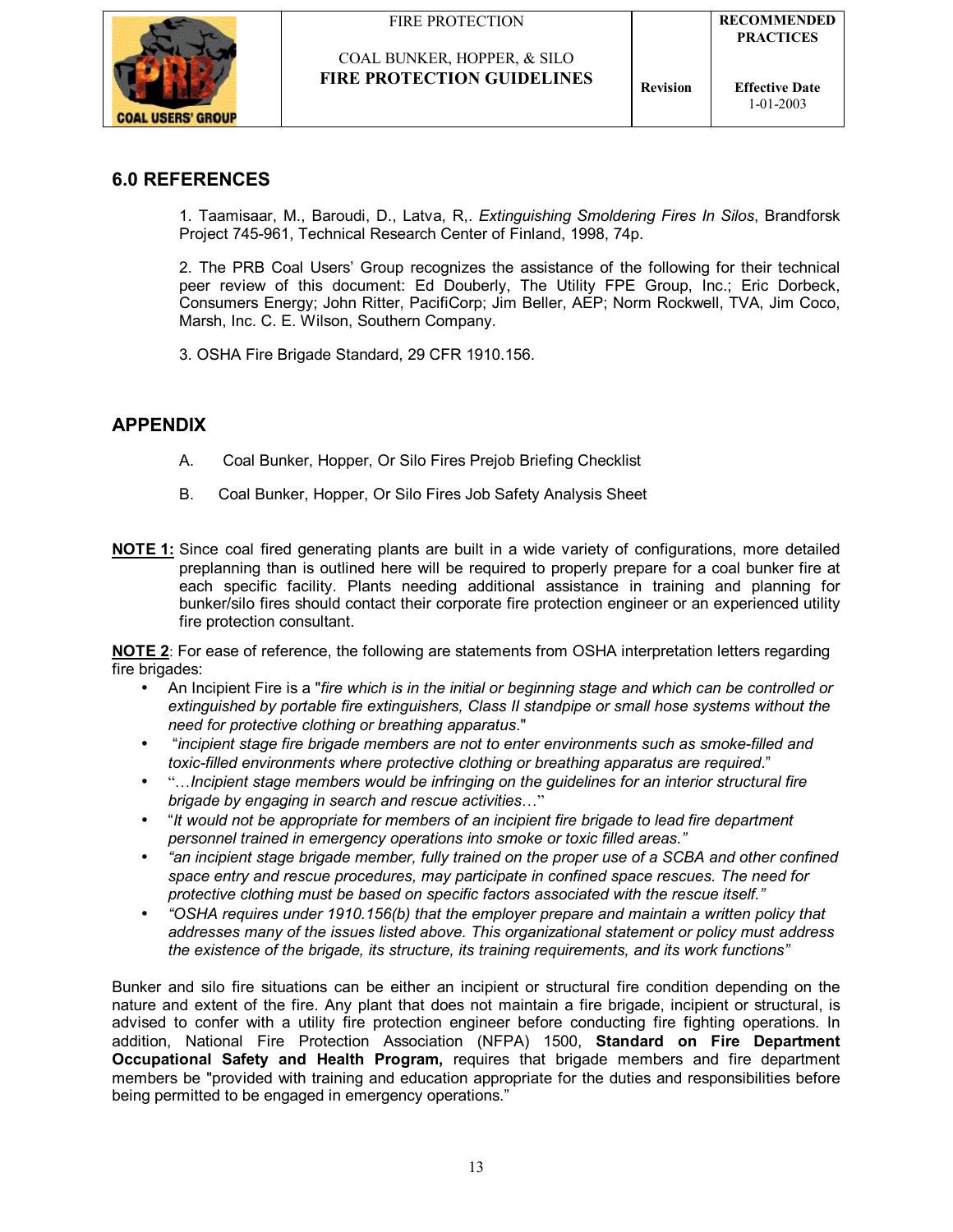



## **6.0 REFERENCES**

1. Taamisaar, M., Baroudi, D., Latva, R,. *Extinguishing Smoldering Fires In Silos*, Brandforsk Project 745-961, Technical Research Center of Finland, 1998, 74p.

2. The PRB Coal Usersí Group recognizes the assistance of the following for their technical peer review of this document: Ed Douberly, The Utility FPE Group, Inc.; Eric Dorbeck, Consumers Energy; John Ritter, PacifiCorp; Jim Beller, AEP; Norm Rockwell, TVA, Jim Coco, Marsh, Inc. C. E. Wilson, Southern Company.

3. OSHA Fire Brigade Standard, 29 CFR 1910.156.

## **APPENDIX**

- A. Coal Bunker, Hopper, Or Silo Fires Prejob Briefing Checklist
- B. Coal Bunker, Hopper, Or Silo Fires Job Safety Analysis Sheet
- **NOTE 1:** Since coal fired generating plants are built in a wide variety of configurations, more detailed preplanning than is outlined here will be required to properly prepare for a coal bunker fire at each specific facility. Plants needing additional assistance in training and planning for bunker/silo fires should contact their corporate fire protection engineer or an experienced utility fire protection consultant.

**NOTE 2:** For ease of reference, the following are statements from OSHA interpretation letters regarding fire brigades:

- An Incipient Fire is a "*fire which is in the initial or beginning stage and which can be controlled or extinguished by portable fire extinguishers, Class II standpipe or small hose systems without the need for protective clothing or breathing apparatus*."
- ì*incipient stage fire brigade members are not to enter environments such as smoke-filled and*  toxic-filled environments where protective clothing or breathing apparatus are required."
- "*…Incipient stage members would be infringing on the guidelines for an interior structural fire brigade by engaging in search and rescue activities*..."
- ì*It would not be appropriate for members of an incipient fire brigade to lead fire department*  personnel trained in emergency operations into smoke or toxic filled areas."
- *ìan incipient stage brigade member, fully trained on the proper use of a SCBA and other confined space entry and rescue procedures, may participate in confined space rescues. The need for*  protective clothing must be based on specific factors associated with the rescue itself."
- *ìOSHA requires under 1910.156(b) that the employer prepare and maintain a written policy that addresses many of the issues listed above. This organizational statement or policy must address the existence of the brigade, its structure, its training requirements, and its work functionsî*

Bunker and silo fire situations can be either an incipient or structural fire condition depending on the nature and extent of the fire. Any plant that does not maintain a fire brigade, incipient or structural, is advised to confer with a utility fire protection engineer before conducting fire fighting operations. In addition, National Fire Protection Association (NFPA) 1500, **Standard on Fire Department Occupational Safety and Health Program,** requires that brigade members and fire department members be "provided with training and education appropriate for the duties and responsibilities before being permitted to be engaged in emergency operations."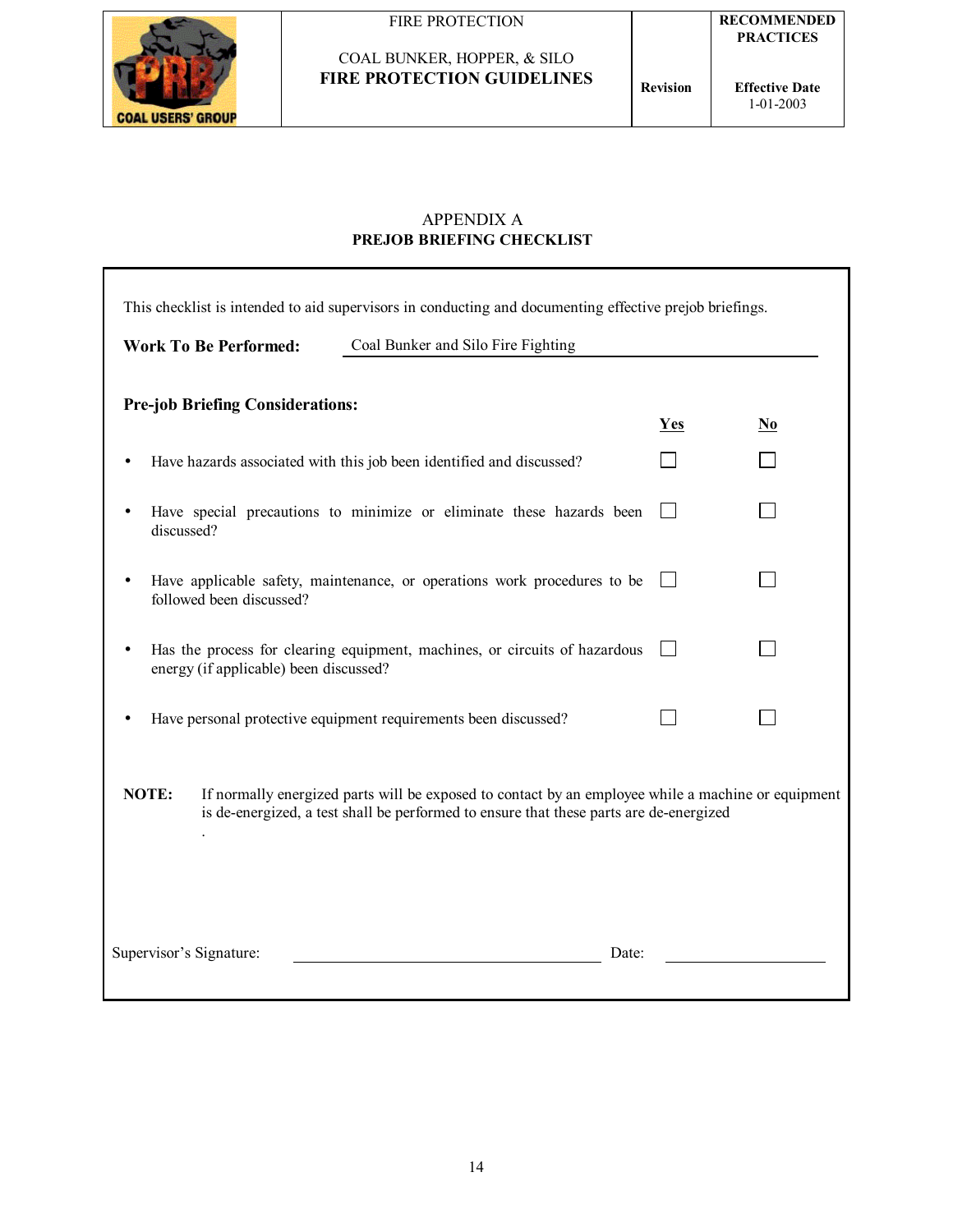

## APPENDIX A **PREJOB BRIEFING CHECKLIST**

|                                                                                                                                                                                                       |                                         | This checklist is intended to aid supervisors in conducting and documenting effective prejob briefings. |            |                                    |  |  |
|-------------------------------------------------------------------------------------------------------------------------------------------------------------------------------------------------------|-----------------------------------------|---------------------------------------------------------------------------------------------------------|------------|------------------------------------|--|--|
|                                                                                                                                                                                                       | <b>Work To Be Performed:</b>            | Coal Bunker and Silo Fire Fighting                                                                      |            |                                    |  |  |
|                                                                                                                                                                                                       | <b>Pre-job Briefing Considerations:</b> |                                                                                                         | <b>Yes</b> | $\underline{\mathbf{N}\mathbf{0}}$ |  |  |
|                                                                                                                                                                                                       |                                         | Have hazards associated with this job been identified and discussed?                                    |            |                                    |  |  |
| discussed?                                                                                                                                                                                            |                                         | Have special precautions to minimize or eliminate these hazards been                                    |            |                                    |  |  |
|                                                                                                                                                                                                       | followed been discussed?                | Have applicable safety, maintenance, or operations work procedures to be                                |            |                                    |  |  |
|                                                                                                                                                                                                       | energy (if applicable) been discussed?  | Has the process for clearing equipment, machines, or circuits of hazardous                              |            |                                    |  |  |
|                                                                                                                                                                                                       |                                         | Have personal protective equipment requirements been discussed?                                         |            |                                    |  |  |
| NOTE:<br>If normally energized parts will be exposed to contact by an employee while a machine or equipment<br>is de-energized, a test shall be performed to ensure that these parts are de-energized |                                         |                                                                                                         |            |                                    |  |  |
| Supervisor's Signature:<br>Date:                                                                                                                                                                      |                                         |                                                                                                         |            |                                    |  |  |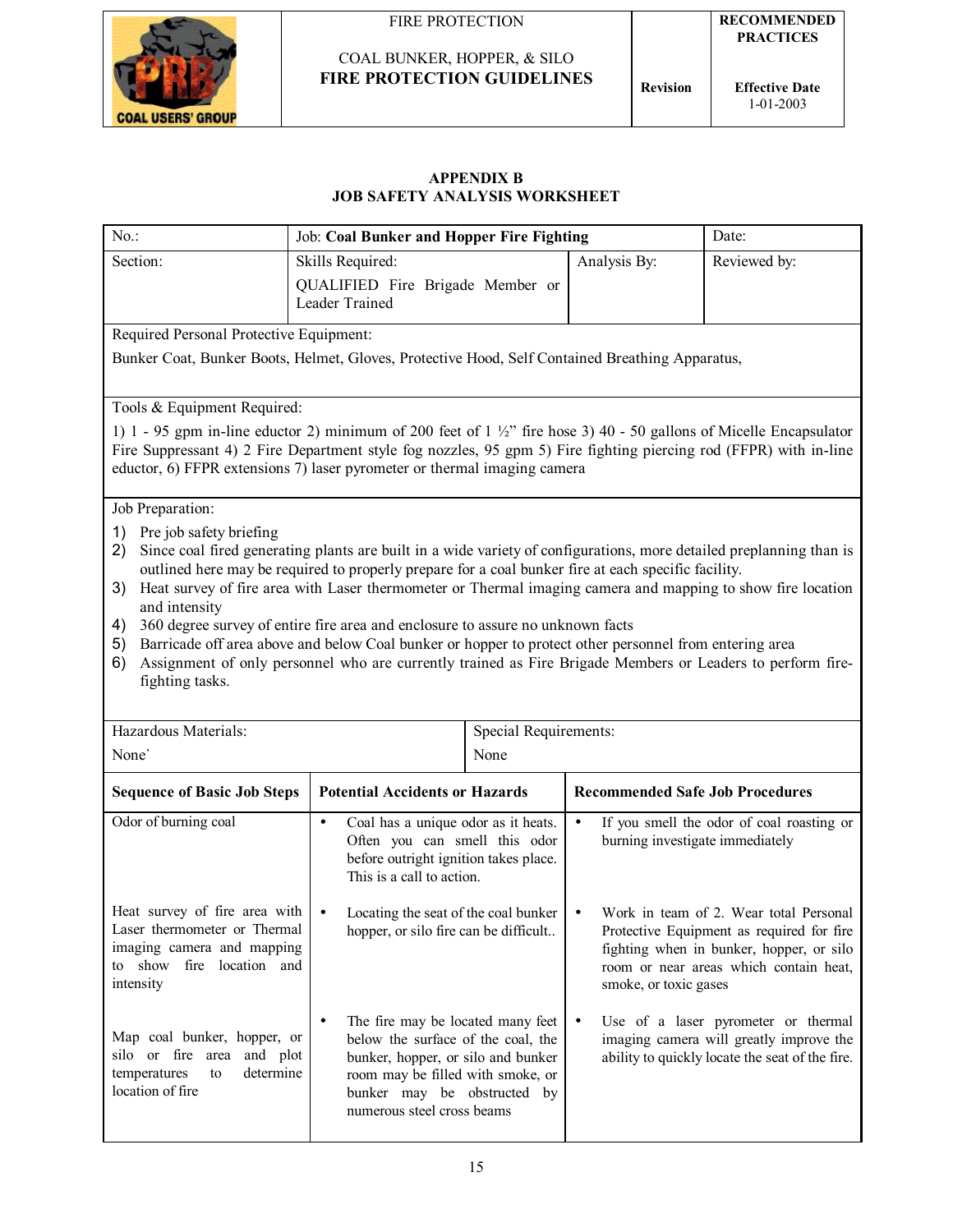

**Effective Date** 1-01-2003

#### **APPENDIX B JOB SAFETY ANALYSIS WORKSHEET**

| $No.$ :                                                                                                                                                                                                                                                                                                                       | Job: Coal Bunker and Hopper Fire Fighting                                                                                                                                                                                  |                                                                                                                                                                                                                 |                                              | Date:                                                                                                                                                                     |
|-------------------------------------------------------------------------------------------------------------------------------------------------------------------------------------------------------------------------------------------------------------------------------------------------------------------------------|----------------------------------------------------------------------------------------------------------------------------------------------------------------------------------------------------------------------------|-----------------------------------------------------------------------------------------------------------------------------------------------------------------------------------------------------------------|----------------------------------------------|---------------------------------------------------------------------------------------------------------------------------------------------------------------------------|
| Section:                                                                                                                                                                                                                                                                                                                      | Skills Required:                                                                                                                                                                                                           |                                                                                                                                                                                                                 | Analysis By:                                 | Reviewed by:                                                                                                                                                              |
|                                                                                                                                                                                                                                                                                                                               | QUALIFIED Fire Brigade Member or<br>Leader Trained                                                                                                                                                                         |                                                                                                                                                                                                                 |                                              |                                                                                                                                                                           |
| Required Personal Protective Equipment:                                                                                                                                                                                                                                                                                       |                                                                                                                                                                                                                            |                                                                                                                                                                                                                 |                                              |                                                                                                                                                                           |
| Bunker Coat, Bunker Boots, Helmet, Gloves, Protective Hood, Self Contained Breathing Apparatus,                                                                                                                                                                                                                               |                                                                                                                                                                                                                            |                                                                                                                                                                                                                 |                                              |                                                                                                                                                                           |
| Tools & Equipment Required:                                                                                                                                                                                                                                                                                                   |                                                                                                                                                                                                                            |                                                                                                                                                                                                                 |                                              |                                                                                                                                                                           |
| 1) 1 - 95 gpm in-line eductor 2) minimum of 200 feet of $1 \frac{1}{2}$ fire hose 3) 40 - 50 gallons of Micelle Encapsulator<br>Fire Suppressant 4) 2 Fire Department style fog nozzles, 95 gpm 5) Fire fighting piercing rod (FFPR) with in-line<br>eductor, 6) FFPR extensions 7) laser pyrometer or thermal imaging camera |                                                                                                                                                                                                                            |                                                                                                                                                                                                                 |                                              |                                                                                                                                                                           |
| Job Preparation:                                                                                                                                                                                                                                                                                                              |                                                                                                                                                                                                                            |                                                                                                                                                                                                                 |                                              |                                                                                                                                                                           |
| Pre job safety briefing<br>1)<br>2)                                                                                                                                                                                                                                                                                           | Since coal fired generating plants are built in a wide variety of configurations, more detailed preplanning than is<br>outlined here may be required to properly prepare for a coal bunker fire at each specific facility. |                                                                                                                                                                                                                 |                                              |                                                                                                                                                                           |
| 3)                                                                                                                                                                                                                                                                                                                            | Heat survey of fire area with Laser thermometer or Thermal imaging camera and mapping to show fire location                                                                                                                |                                                                                                                                                                                                                 |                                              |                                                                                                                                                                           |
| and intensity<br>4)                                                                                                                                                                                                                                                                                                           | 360 degree survey of entire fire area and enclosure to assure no unknown facts                                                                                                                                             |                                                                                                                                                                                                                 |                                              |                                                                                                                                                                           |
| 5)                                                                                                                                                                                                                                                                                                                            | Barricade off area above and below Coal bunker or hopper to protect other personnel from entering area                                                                                                                     |                                                                                                                                                                                                                 |                                              |                                                                                                                                                                           |
| 6)<br>fighting tasks.                                                                                                                                                                                                                                                                                                         | Assignment of only personnel who are currently trained as Fire Brigade Members or Leaders to perform fire-                                                                                                                 |                                                                                                                                                                                                                 |                                              |                                                                                                                                                                           |
|                                                                                                                                                                                                                                                                                                                               |                                                                                                                                                                                                                            |                                                                                                                                                                                                                 |                                              |                                                                                                                                                                           |
| Hazardous Materials:                                                                                                                                                                                                                                                                                                          |                                                                                                                                                                                                                            | Special Requirements:                                                                                                                                                                                           |                                              |                                                                                                                                                                           |
| None <sup>'</sup>                                                                                                                                                                                                                                                                                                             |                                                                                                                                                                                                                            | None                                                                                                                                                                                                            |                                              |                                                                                                                                                                           |
| <b>Sequence of Basic Job Steps</b>                                                                                                                                                                                                                                                                                            | <b>Potential Accidents or Hazards</b>                                                                                                                                                                                      |                                                                                                                                                                                                                 | <b>Recommended Safe Job Procedures</b>       |                                                                                                                                                                           |
| Odor of burning coal                                                                                                                                                                                                                                                                                                          | Coal has a unique odor as it heats.<br>$\bullet$<br>Often you can smell this odor<br>before outright ignition takes place.<br>This is a call to action.                                                                    |                                                                                                                                                                                                                 | $\bullet$<br>burning investigate immediately | If you smell the odor of coal roasting or                                                                                                                                 |
| Heat survey of fire area with<br>Laser thermometer or Thermal<br>imaging camera and mapping<br>to show fire location and<br>intensity                                                                                                                                                                                         | Locating the seat of the coal bunker<br>hopper, or silo fire can be difficult                                                                                                                                              |                                                                                                                                                                                                                 | $\bullet$<br>smoke, or toxic gases           | Work in team of 2. Wear total Personal<br>Protective Equipment as required for fire<br>fighting when in bunker, hopper, or silo<br>room or near areas which contain heat, |
| Map coal bunker, hopper, or<br>silo or fire area and plot<br>determine<br>temperatures<br>to<br>location of fire                                                                                                                                                                                                              | $\bullet$                                                                                                                                                                                                                  | The fire may be located many feet<br>below the surface of the coal, the<br>bunker, hopper, or silo and bunker<br>room may be filled with smoke, or<br>bunker may be obstructed by<br>numerous steel cross beams |                                              | Use of a laser pyrometer or thermal<br>imaging camera will greatly improve the<br>ability to quickly locate the seat of the fire.                                         |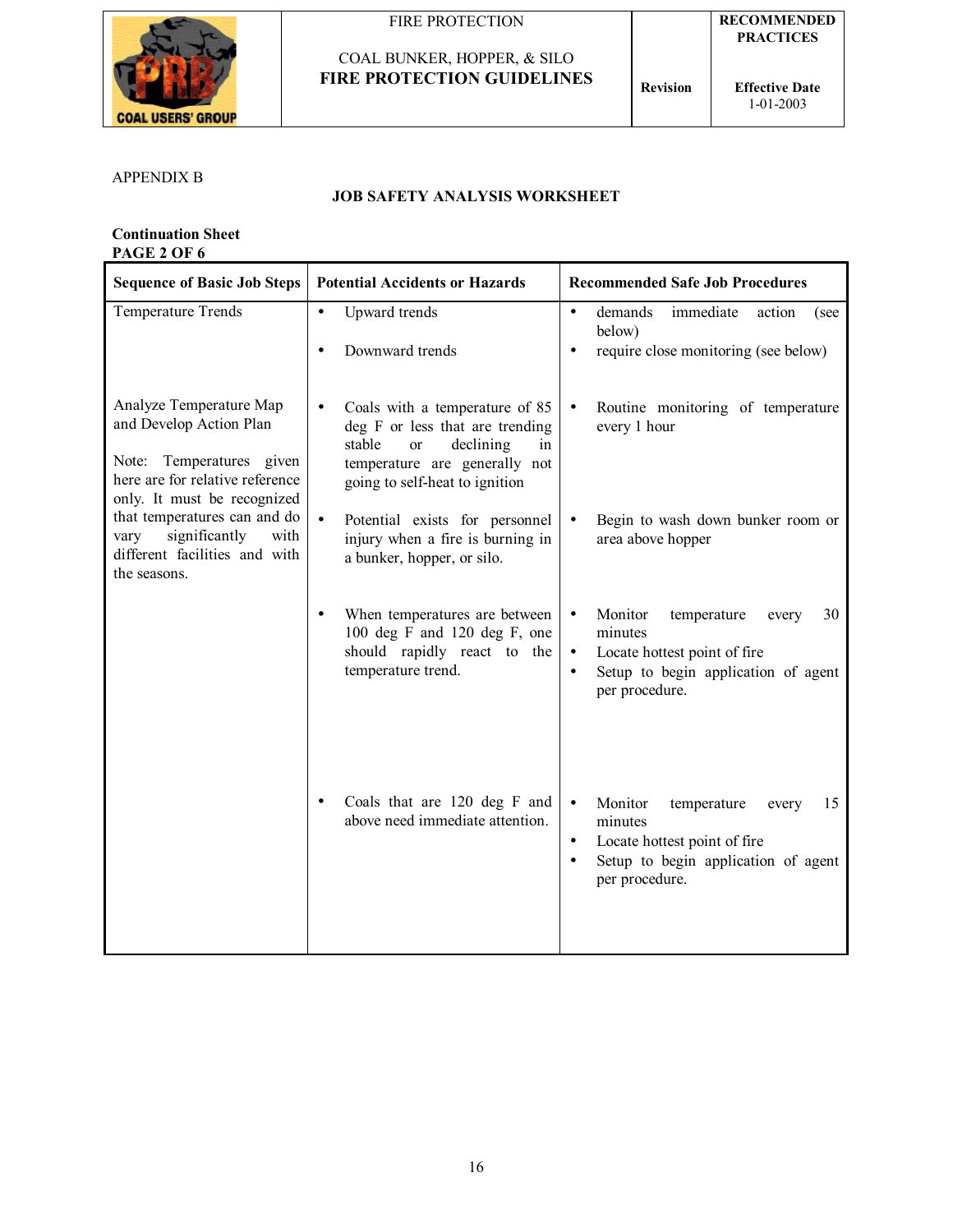

## COAL BUNKER, HOPPER, & SILO **FIRE PROTECTION GUIDELINES Revision**

**Effective Date** 1-01-2003

#### APPENDIX B

#### **JOB SAFETY ANALYSIS WORKSHEET**

**Continuation Sheet PAGE 2 OF 6** 

| <b>Sequence of Basic Job Steps</b>                                                                                                               | <b>Potential Accidents or Hazards</b>                                                                                                                                                           | <b>Recommended Safe Job Procedures</b>                                                                                                                                           |
|--------------------------------------------------------------------------------------------------------------------------------------------------|-------------------------------------------------------------------------------------------------------------------------------------------------------------------------------------------------|----------------------------------------------------------------------------------------------------------------------------------------------------------------------------------|
| Temperature Trends                                                                                                                               | Upward trends<br>$\bullet$                                                                                                                                                                      | demands<br>immediate<br>action<br>$\bullet$<br>(see<br>below)                                                                                                                    |
|                                                                                                                                                  | Downward trends                                                                                                                                                                                 | require close monitoring (see below)<br>$\bullet$                                                                                                                                |
| Analyze Temperature Map<br>and Develop Action Plan<br>Note: Temperatures given<br>here are for relative reference<br>only. It must be recognized | Coals with a temperature of 85<br>$\bullet$<br>deg F or less that are trending<br>stable<br>declining<br><sub>or</sub><br>in<br>temperature are generally not<br>going to self-heat to ignition | Routine monitoring of temperature<br>$\bullet$<br>every 1 hour                                                                                                                   |
| that temperatures can and do<br>significantly<br>with<br>vary<br>different facilities and with<br>the seasons.                                   | Potential exists for personnel<br>$\bullet$<br>injury when a fire is burning in<br>a bunker, hopper, or silo.                                                                                   | Begin to wash down bunker room or<br>area above hopper                                                                                                                           |
|                                                                                                                                                  | When temperatures are between<br>100 deg F and 120 deg F, one<br>should rapidly react to the<br>temperature trend.                                                                              | Monitor<br>temperature<br>30<br>every<br>$\bullet$<br>minutes<br>Locate hottest point of fire<br>$\bullet$<br>Setup to begin application of agent<br>$\bullet$<br>per procedure. |
|                                                                                                                                                  | Coals that are 120 deg F and<br>above need immediate attention.                                                                                                                                 | Monitor<br>$\bullet$<br>temperature<br>15<br>every<br>minutes<br>Locate hottest point of fire<br>$\bullet$<br>Setup to begin application of agent<br>$\bullet$<br>per procedure. |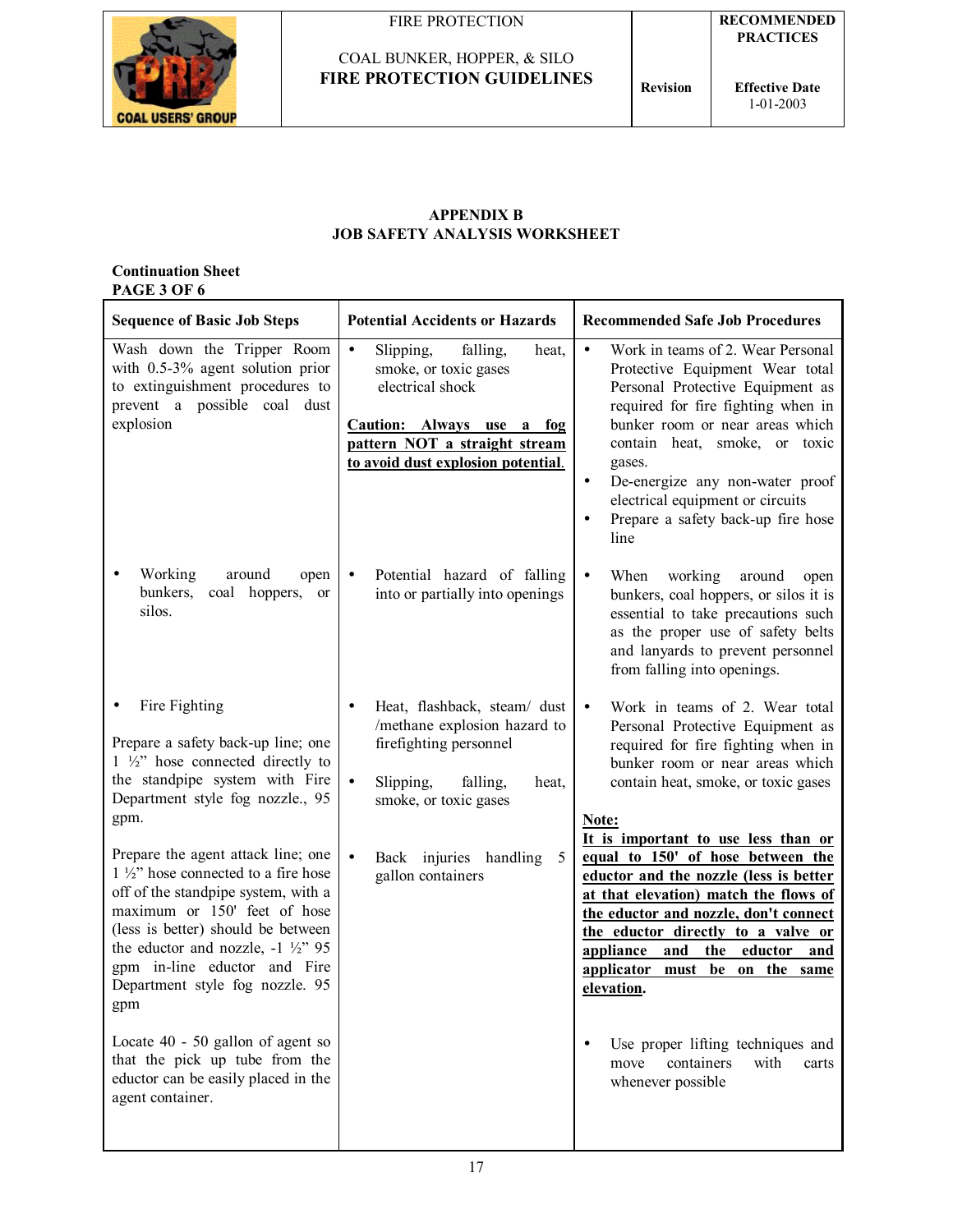

COAL BUNKER, HOPPER, & SILO



**COAL USERS' GROUP** 

**FIRE PROTECTION GUIDELINES Revision** 

**RECOMMENDED PRACTICES** 

#### **APPENDIX B JOB SAFETY ANALYSIS WORKSHEET**

#### **Continuation Sheet PAGE 3 OF 6**

| <b>Sequence of Basic Job Steps</b>                                                                                                                                                                                                                                                                                                                                                                                                                                                                                                                                                  | <b>Potential Accidents or Hazards</b>                                                                                                                                                                                 | <b>Recommended Safe Job Procedures</b>                                                                                                                                                                                                                                                                                                                                                                                                                                                                                                                                                                                                       |
|-------------------------------------------------------------------------------------------------------------------------------------------------------------------------------------------------------------------------------------------------------------------------------------------------------------------------------------------------------------------------------------------------------------------------------------------------------------------------------------------------------------------------------------------------------------------------------------|-----------------------------------------------------------------------------------------------------------------------------------------------------------------------------------------------------------------------|----------------------------------------------------------------------------------------------------------------------------------------------------------------------------------------------------------------------------------------------------------------------------------------------------------------------------------------------------------------------------------------------------------------------------------------------------------------------------------------------------------------------------------------------------------------------------------------------------------------------------------------------|
| Wash down the Tripper Room<br>with $0.5-3\%$ agent solution prior<br>to extinguishment procedures to<br>prevent a possible coal dust<br>explosion                                                                                                                                                                                                                                                                                                                                                                                                                                   | $\bullet$<br>Slipping,<br>falling,<br>heat,<br>smoke, or toxic gases<br>electrical shock<br>Caution: Always use a<br>fog<br>pattern NOT a straight stream<br>to avoid dust explosion potential.                       | Work in teams of 2. Wear Personal<br>$\bullet$<br>Protective Equipment Wear total<br>Personal Protective Equipment as<br>required for fire fighting when in<br>bunker room or near areas which<br>contain heat, smoke, or toxic<br>gases.<br>De-energize any non-water proof<br>$\bullet$<br>electrical equipment or circuits<br>Prepare a safety back-up fire hose<br>line                                                                                                                                                                                                                                                                  |
| Working<br>around<br>open<br>bunkers,<br>coal hoppers,<br><sub>or</sub><br>silos.                                                                                                                                                                                                                                                                                                                                                                                                                                                                                                   | Potential hazard of falling<br>into or partially into openings                                                                                                                                                        | When<br>working<br>around<br>$\bullet$<br>open<br>bunkers, coal hoppers, or silos it is<br>essential to take precautions such<br>as the proper use of safety belts<br>and lanyards to prevent personnel<br>from falling into openings.                                                                                                                                                                                                                                                                                                                                                                                                       |
| Fire Fighting<br>Prepare a safety back-up line; one<br>$1 \frac{1}{2}$ hose connected directly to<br>the standpipe system with Fire<br>Department style fog nozzle., 95<br>gpm.<br>Prepare the agent attack line; one<br>$1\frac{1}{2}$ " hose connected to a fire hose<br>off of the standpipe system, with a<br>maximum or 150' feet of hose<br>(less is better) should be between<br>the eductor and nozzle, $-1\frac{1}{2}$ 95<br>gpm in-line eductor and Fire<br>Department style fog nozzle. 95<br>gpm<br>Locate 40 - 50 gallon of agent so<br>that the pick up tube from the | Heat, flashback, steam/ dust<br>/methane explosion hazard to<br>firefighting personnel<br>$\bullet$<br>Slipping,<br>falling,<br>heat,<br>smoke, or toxic gases<br>Back injuries<br>handling<br>5<br>gallon containers | Work in teams of 2. Wear total<br>$\bullet$<br>Personal Protective Equipment as<br>required for fire fighting when in<br>bunker room or near areas which<br>contain heat, smoke, or toxic gases<br>Note:<br>It is important to use less than or<br>equal to 150' of hose between the<br>eductor and the nozzle (less is better<br>at that elevation) match the flows of<br>the eductor and nozzle, don't connect<br>the eductor directly to a valve or<br>appliance and<br>the<br>eductor<br>and<br>applicator must<br>be on the same<br>elevation.<br>Use proper lifting techniques and<br>$\bullet$<br>containers<br>with<br>move<br>carts |
| eductor can be easily placed in the<br>agent container.                                                                                                                                                                                                                                                                                                                                                                                                                                                                                                                             |                                                                                                                                                                                                                       | whenever possible                                                                                                                                                                                                                                                                                                                                                                                                                                                                                                                                                                                                                            |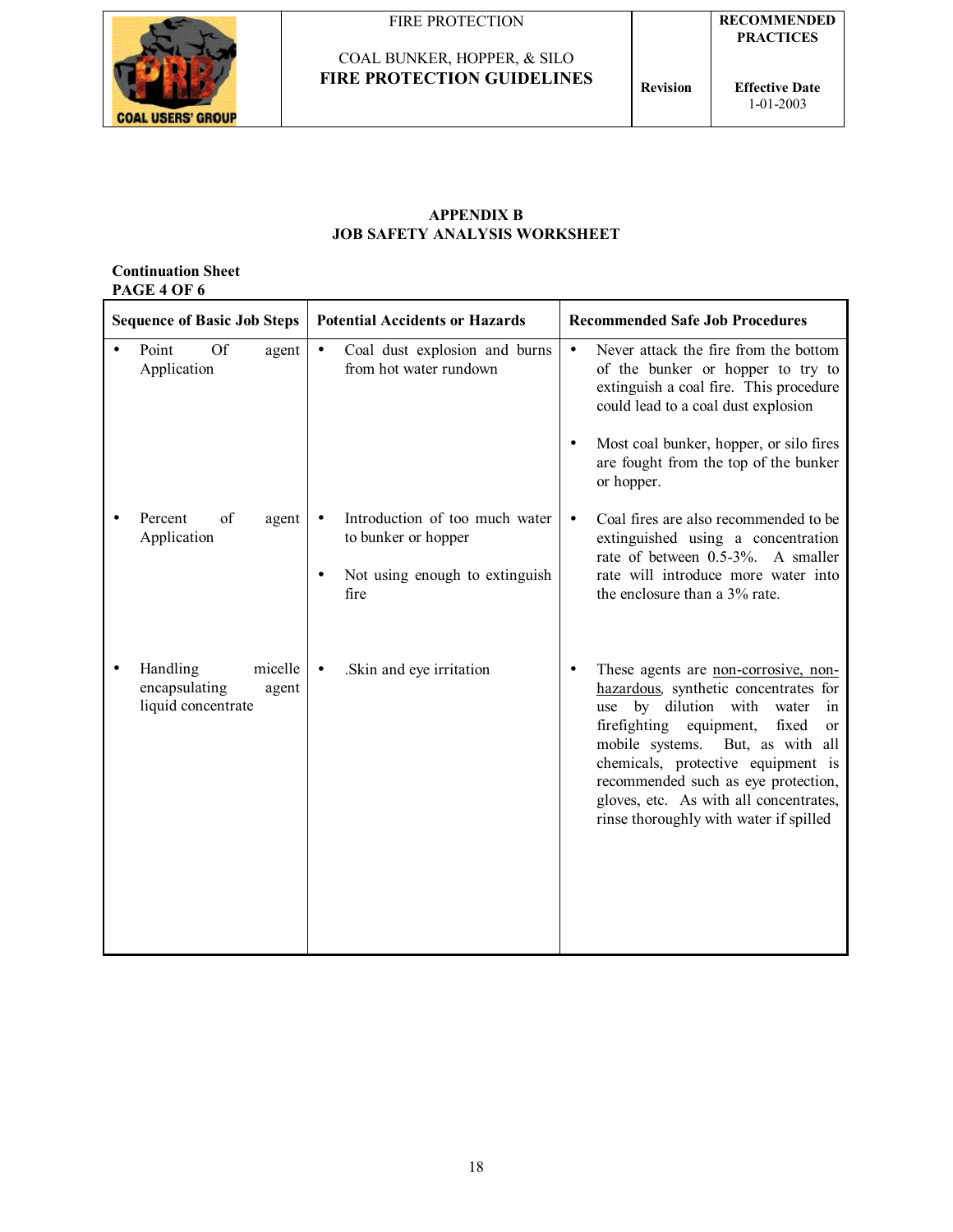



**Effective Date** 1-01-2003

#### **APPENDIX B JOB SAFETY ANALYSIS WORKSHEET**

#### **Continuation Sheet PAGE 4 OF 6**

| <b>Sequence of Basic Job Steps</b>                                  | <b>Potential Accidents or Hazards</b>                                                           | <b>Recommended Safe Job Procedures</b>                                                                                                                                                                                                                                                                                                                                            |
|---------------------------------------------------------------------|-------------------------------------------------------------------------------------------------|-----------------------------------------------------------------------------------------------------------------------------------------------------------------------------------------------------------------------------------------------------------------------------------------------------------------------------------------------------------------------------------|
| Point<br><b>Of</b><br>agent<br>Application                          | Coal dust explosion and burns<br>$\bullet$<br>from hot water rundown                            | Never attack the fire from the bottom<br>$\bullet$<br>of the bunker or hopper to try to<br>extinguish a coal fire. This procedure<br>could lead to a coal dust explosion<br>Most coal bunker, hopper, or silo fires<br>are fought from the top of the bunker<br>or hopper.                                                                                                        |
| Percent<br>of<br>agent<br>Application                               | Introduction of too much water<br>to bunker or hopper<br>Not using enough to extinguish<br>fire | Coal fires are also recommended to be<br>$\bullet$<br>extinguished using a concentration<br>rate of between 0.5-3%. A smaller<br>rate will introduce more water into<br>the enclosure than a 3% rate.                                                                                                                                                                             |
| micelle<br>Handling<br>encapsulating<br>agent<br>liquid concentrate | .Skin and eye irritation<br>$\bullet$                                                           | These agents are non-corrosive, non-<br>hazardous, synthetic concentrates for<br>by dilution with<br>water<br>use<br>in<br>firefighting equipment,<br>fixed<br><sub>or</sub><br>mobile systems. But, as with all<br>chemicals, protective equipment is<br>recommended such as eye protection,<br>gloves, etc. As with all concentrates,<br>rinse thoroughly with water if spilled |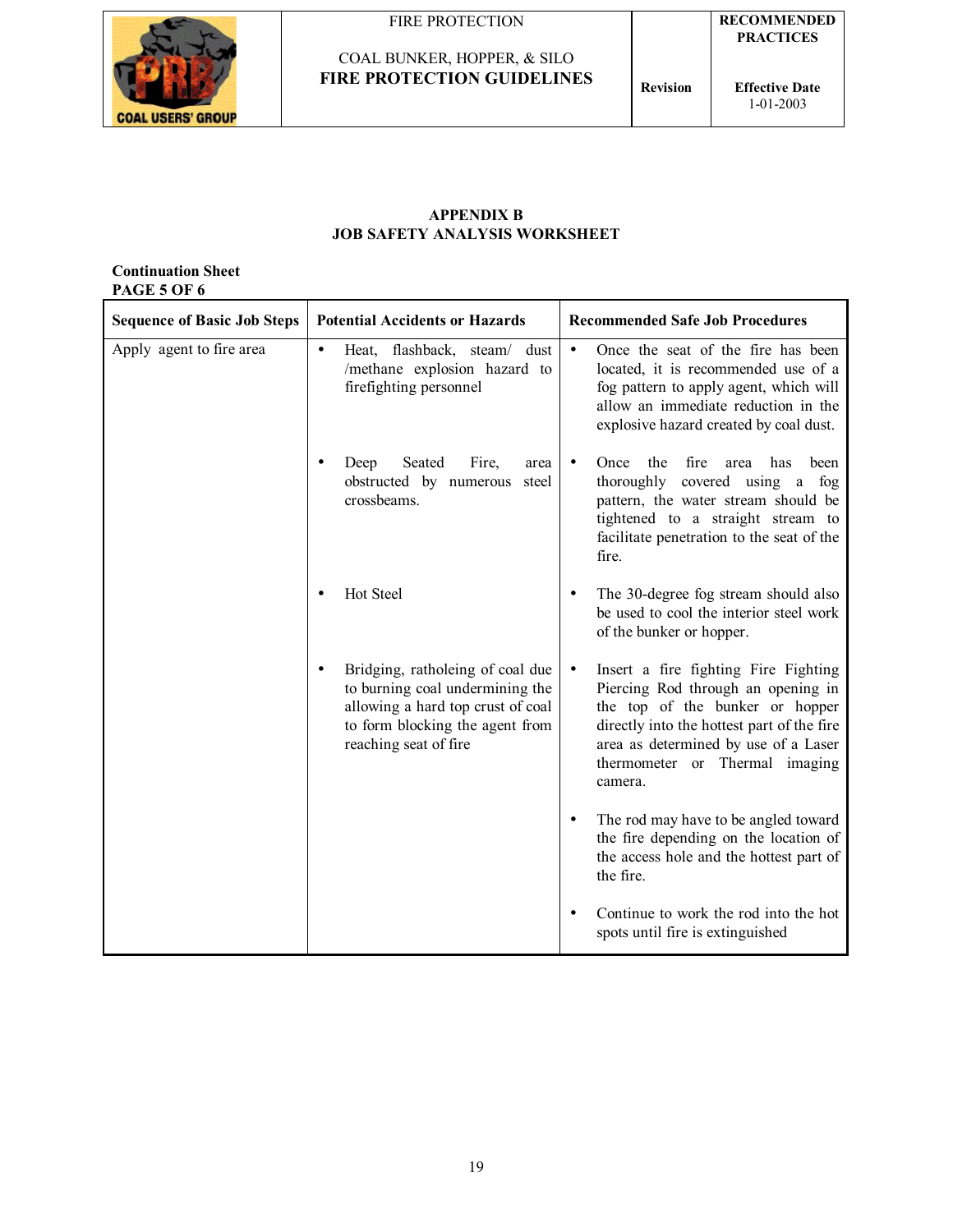

COAL BUNKER, HOPPER, & SILO

**FIRE PROTECTION GUIDELINES Revision** 



**RECOMMENDED PRACTICES** 

**Effective Date** 1-01-2003

#### **APPENDIX B JOB SAFETY ANALYSIS WORKSHEET**

#### **Continuation Sheet PAGE 5 OF 6**

| <b>Sequence of Basic Job Steps</b> |           | <b>Potential Accidents or Hazards</b>                                                                                                                                |           | <b>Recommended Safe Job Procedures</b>                                                                                                                                                                                                           |  |  |
|------------------------------------|-----------|----------------------------------------------------------------------------------------------------------------------------------------------------------------------|-----------|--------------------------------------------------------------------------------------------------------------------------------------------------------------------------------------------------------------------------------------------------|--|--|
| Apply agent to fire area           | $\bullet$ | Heat, flashback, steam/<br>dust<br>/methane explosion hazard to<br>firefighting personnel                                                                            | $\bullet$ | Once the seat of the fire has been<br>located, it is recommended use of a<br>fog pattern to apply agent, which will<br>allow an immediate reduction in the<br>explosive hazard created by coal dust.                                             |  |  |
|                                    |           | Seated<br>Deep<br>Fire,<br>area<br>obstructed by numerous steel<br>crossbeams.                                                                                       |           | the<br>fire<br>Once<br>has<br>been<br>area<br>covered using a fog<br>thoroughly<br>pattern, the water stream should be<br>tightened to a straight stream to<br>facilitate penetration to the seat of the<br>fire.                                |  |  |
|                                    |           | Hot Steel                                                                                                                                                            |           | The 30-degree fog stream should also<br>be used to cool the interior steel work<br>of the bunker or hopper.                                                                                                                                      |  |  |
|                                    | $\bullet$ | Bridging, ratholeing of coal due<br>to burning coal undermining the<br>allowing a hard top crust of coal<br>to form blocking the agent from<br>reaching seat of fire | $\bullet$ | Insert a fire fighting Fire Fighting<br>Piercing Rod through an opening in<br>the top of the bunker or hopper<br>directly into the hottest part of the fire<br>area as determined by use of a Laser<br>thermometer or Thermal imaging<br>camera. |  |  |
|                                    |           |                                                                                                                                                                      |           | The rod may have to be angled toward<br>the fire depending on the location of<br>the access hole and the hottest part of<br>the fire.                                                                                                            |  |  |
|                                    |           |                                                                                                                                                                      |           | Continue to work the rod into the hot<br>spots until fire is extinguished                                                                                                                                                                        |  |  |